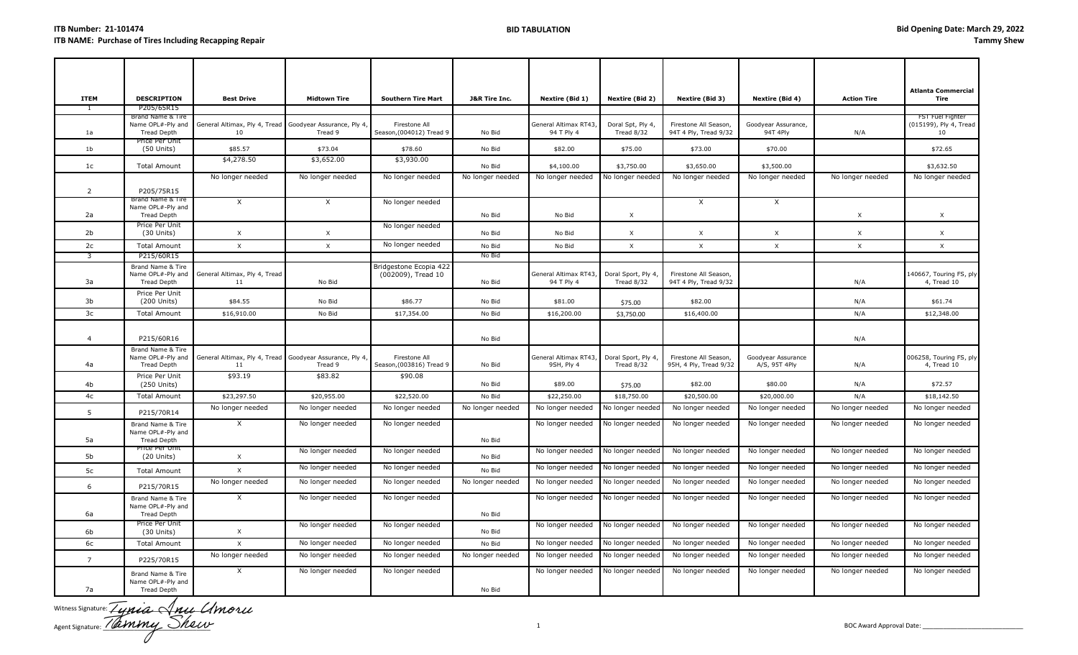| <b>ITEM</b>    | <b>DESCRIPTION</b>                                           | <b>Best Drive</b>                   | <b>Midtown Tire</b>                   | <b>Southern Tire Mart</b>                    | <b>J&amp;R Tire Inc.</b> | Nextire (Bid 1)                     | <b>Nextire (Bid 2)</b>            | Nextire (Bid 3)                                 | Nextire (Bid 4)                     | <b>Action Tire</b> | <b>Atlanta Commercial</b><br>Tire                |
|----------------|--------------------------------------------------------------|-------------------------------------|---------------------------------------|----------------------------------------------|--------------------------|-------------------------------------|-----------------------------------|-------------------------------------------------|-------------------------------------|--------------------|--------------------------------------------------|
|                | P205/65R15                                                   |                                     |                                       |                                              |                          |                                     |                                   |                                                 |                                     |                    |                                                  |
| 1a             | Brand Name & Tire<br>Name OPL#-Ply and<br><b>Tread Depth</b> | General Altimax, Ply 4, Tread<br>10 | Goodyear Assurance, Ply 4<br>Tread 9  | Firestone All<br>Season, (004012) Tread 9    | No Bid                   | General Altimax RT43,<br>94 T Ply 4 | Doral Spt, Ply 4,<br>Tread 8/32   | Firestone All Season,<br>94T 4 Ply, Tread 9/32  | Goodyear Assurance,<br>94T 4Ply     | N/A                | FST Fuel Fighter<br>(015199), Ply 4, Tread<br>10 |
| 1 <sub>b</sub> | Price Per Unit<br>$(50$ Units)                               | \$85.57                             | \$73.04                               | \$78.60                                      | No Bid                   | \$82.00                             | \$75.00                           | \$73.00                                         | \$70.00                             |                    | \$72.65                                          |
| 1c             | <b>Total Amount</b>                                          | \$4,278.50                          | \$3,652.00                            | \$3,930.00                                   | No Bid                   | \$4,100.00                          | \$3,750.00                        | \$3,650.00                                      | \$3,500.00                          |                    | \$3,632.50                                       |
| 2              | P205/75R15                                                   | No longer needed                    | No longer needed                      | No longer needed                             | No longer needed         | No longer needed                    | No longer needed                  | No longer needed                                | No longer needed                    | No longer needed   | No longer needed                                 |
| 2a             | Brand Name & Tire<br>Name OPL#-Ply and<br>Tread Depth        | $\mathsf{X}$                        | X                                     | No longer needed                             | No Bid                   | No Bid                              | X                                 | X                                               | X                                   | $\times$           | $\times$                                         |
| 2 <sub>b</sub> | Price Per Unit<br>$(30$ Units)                               | $\times$                            | $\times$                              | No longer needed                             | No Bid                   | No Bid                              | $\times$                          | X                                               | $\times$                            | $\times$           | $\times$                                         |
| 2c             | <b>Total Amount</b>                                          | $\times$                            | $\times$                              | No longer needed                             | No Bid                   | No Bid                              | $\times$                          | $\times$                                        | $\times$                            | $\times$           | $\times$                                         |
| 3              | P215/60R15                                                   |                                     |                                       |                                              | No Bid                   |                                     |                                   |                                                 |                                     |                    |                                                  |
| 3a             | Brand Name & Tire<br>Name OPL#-Ply and<br><b>Tread Depth</b> | General Altimax, Ply 4, Tread<br>11 | No Bid                                | Bridgestone Ecopia 422<br>(002009), Tread 10 | No Bid                   | General Altimax RT43,<br>94 T Ply 4 | Doral Sport, Ply 4,<br>Tread 8/32 | Firestone All Season,<br>94T 4 Ply, Tread 9/32  |                                     | N/A                | 140667, Touring FS, ply<br>4, Tread 10           |
| 3b             | Price Per Unit<br>(200 Units)                                | \$84.55                             | No Bid                                | \$86.77                                      | No Bid                   | \$81.00                             | \$75.00                           | \$82.00                                         |                                     | N/A                | \$61.74                                          |
| 3c             | <b>Total Amount</b>                                          | \$16,910.00                         | No Bid                                | \$17,354.00                                  | No Bid                   | \$16,200.00                         | \$3,750.00                        | \$16,400.00                                     |                                     | N/A                | \$12,348.00                                      |
| $\overline{4}$ | P215/60R16<br>Brand Name & Tire                              |                                     |                                       |                                              | No Bid                   |                                     |                                   |                                                 |                                     | N/A                |                                                  |
| 4a             | Name OPL#-Ply and<br>Tread Depth                             | General Altimax, Ply 4, Tread<br>11 | Goodyear Assurance, Ply 4,<br>Tread 9 | Firestone All<br>Season, (003816) Tread 9    | No Bid                   | General Altimax RT43,<br>9SH, Ply 4 | Doral Sport, Ply 4,<br>Tread 8/32 | Firestone All Season,<br>95H, 4 Ply, Tread 9/32 | Goodyear Assurance<br>A/S, 95T 4Ply | N/A                | 006258, Touring FS, ply<br>4, Tread 10           |
| 4b             | Price Per Unit<br>(250 Units)                                | \$93.19                             | \$83.82                               | \$90.08                                      | No Bid                   | \$89.00                             | \$75.00                           | \$82.00                                         | \$80.00                             | N/A                | \$72.57                                          |
| 4c             | <b>Total Amount</b>                                          | \$23,297.50                         | \$20,955.00                           | \$22,520.00                                  | No Bid                   | \$22,250.00                         | \$18,750.00                       | \$20,500.00                                     | \$20,000.00                         | N/A                | \$18,142.50                                      |
| 5              | P215/70R14                                                   | No longer needed                    | No longer needed                      | No longer needed                             | No longer needed         | No longer needed                    | No longer needed                  | No longer needed                                | No longer needed                    | No longer needed   | No longer needed                                 |
| 5a             | Brand Name & Tire<br>Name OPL#-Ply and<br><b>Tread Depth</b> | $\times$                            | No longer needed                      | No longer needed                             | No Bid                   | No longer needed                    | No longer needed                  | No longer needed                                | No longer needed                    | No longer needed   | No longer needed                                 |
| 5b             | rice Per Unit<br>$(20$ Units)                                | $\times$                            | No longer needed                      | No longer needed                             | No Bid                   | No longer needed                    | No longer needed                  | No longer needed                                | No longer needed                    | No longer needed   | No longer needed                                 |
| 5c             | <b>Total Amount</b>                                          | $\times$                            | No longer needed                      | No longer needed                             | No Bid                   | No longer needed                    | No longer needed                  | No longer needed                                | No longer needed                    | No longer needed   | No longer needed                                 |
| 6              | P215/70R15                                                   | No longer needed                    | No longer needed                      | No longer needed                             | No longer needed         | No longer needed                    | No longer needed                  | No longer needed                                | No longer needed                    | No longer needed   | No longer needed                                 |
| 6a             | Brand Name & Tire<br>Name OPL#-Ply and<br>Tread Depth        | $\times$                            | No longer needed                      | No longer needed                             | No Bid                   | No longer needed                    | No longer needed                  | No longer needed                                | No longer needed                    | No longer needed   | No longer needed                                 |
| 6b             | Price Per Unit<br>$(30$ Units)                               | $\mathsf{X}$                        | No longer needed                      | No longer needed                             | No Bid                   | No longer needed                    | No longer needed                  | No longer needed                                | No longer needed                    | No longer needed   | No longer needed                                 |
| 6с             | <b>Total Amount</b>                                          | $\times$                            | No longer needed                      | No longer needed                             | No Bid                   | No longer needed                    | No longer needed                  | No longer needed                                | No longer needed                    | No longer needed   | No longer needed                                 |
| $\overline{7}$ | P225/70R15                                                   | No longer needed                    | No longer needed                      | No longer needed                             | No longer needed         | No longer needed                    | No longer needed                  | No longer needed                                | No longer needed                    | No longer needed   | No longer needed                                 |
| 7a             | Brand Name & Tire<br>Name OPL#-Ply and<br>Tread Depth        | $\times$                            | No longer needed                      | No longer needed                             | No Bid                   | No longer needed                    | No longer needed                  | No longer needed                                | No longer needed                    | No longer needed   | No longer needed                                 |

Witness Signature: \_\_\_\_\_\_\_\_\_\_\_\_\_\_\_\_\_\_\_\_\_\_\_\_\_\_\_\_\_ Agent Signature: \_\_\_\_\_\_\_\_\_\_\_\_\_\_\_\_\_\_\_\_\_\_\_\_\_\_\_\_\_\_\_ 1 BOC Award Approval Date: \_\_\_\_\_\_\_\_\_\_\_\_\_\_\_\_\_\_\_\_\_\_\_\_\_\_\_\_\_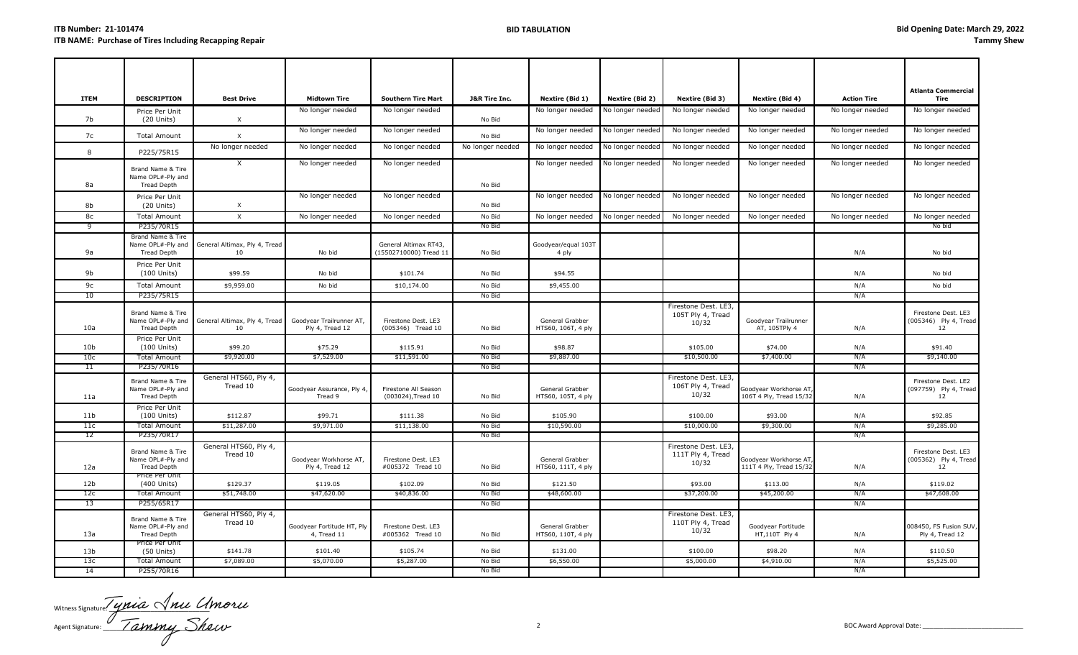|                 |                                                              |                                     |                                             |                                                 |                          |                                       |                        |                                                    |                                                  |                    | <b>Atlanta Commercial</b>                          |
|-----------------|--------------------------------------------------------------|-------------------------------------|---------------------------------------------|-------------------------------------------------|--------------------------|---------------------------------------|------------------------|----------------------------------------------------|--------------------------------------------------|--------------------|----------------------------------------------------|
| <b>ITEM</b>     | <b>DESCRIPTION</b>                                           | <b>Best Drive</b>                   | <b>Midtown Tire</b>                         | <b>Southern Tire Mart</b>                       | <b>J&amp;R Tire Inc.</b> | Nextire (Bid 1)                       | <b>Nextire (Bid 2)</b> | Nextire (Bid 3)                                    | Nextire (Bid 4)                                  | <b>Action Tire</b> | Tire                                               |
| 7b              | Price Per Unit<br>$(20$ Units)                               | $\times$                            | No longer needed                            | No longer needed                                | No Bid                   | No longer needed                      | No longer needed       | No longer needed                                   | No longer needed                                 | No longer needed   | No longer needed                                   |
| 7c              | <b>Total Amount</b>                                          | $\boldsymbol{\mathsf{X}}$           | No longer needed                            | No longer needed                                | No Bid                   | No longer needed                      | No longer needed       | No longer needed                                   | No longer needed                                 | No longer needed   | No longer needed                                   |
| 8               | P225/75R15                                                   | No longer needed                    | No longer needed                            | No longer needed                                | No longer needed         | No longer needed                      | No longer needed       | No longer needed                                   | No longer needed                                 | No longer needed   | No longer needed                                   |
|                 | Brand Name & Tire                                            | $\times$                            | No longer needed                            | No longer needed                                |                          | No longer needed                      | No longer needed       | No longer needed                                   | No longer needed                                 | No longer needed   | No longer needed                                   |
| 8а              | Name OPL#-Ply and<br>Tread Depth                             |                                     |                                             |                                                 | No Bid                   |                                       |                        |                                                    |                                                  |                    |                                                    |
|                 |                                                              |                                     |                                             |                                                 |                          |                                       |                        |                                                    |                                                  |                    |                                                    |
| 8b              | Price Per Unit<br>$(20$ Units)                               | $\boldsymbol{\mathsf{X}}$           | No longer needed                            | No longer needed                                | No Bid                   | No longer needed                      | No longer needed       | No longer needed                                   | No longer needed                                 | No longer needed   | No longer needed                                   |
| 8c              | <b>Total Amount</b>                                          | $\boldsymbol{\mathsf{x}}$           | No longer needed                            | No longer needed                                | No Bid                   | No longer needed                      | No longer needed       | No longer needed                                   | No longer needed                                 | No longer needed   | No longer needed                                   |
| 9               | P235/70R15                                                   |                                     |                                             |                                                 | No Bid                   |                                       |                        |                                                    |                                                  |                    | No bid                                             |
| 9a              | Brand Name & Tire<br>Name OPL#-Ply and<br><b>Tread Depth</b> | General Altimax, Ply 4, Tread<br>10 | No bid                                      | General Altimax RT43,<br>(15502710000) Tread 11 | No Bid                   | Goodyear/equal 103T<br>4 ply          |                        |                                                    |                                                  | N/A                | No bid                                             |
| 9b              | Price Per Unit<br>$(100$ Units)                              | \$99.59                             | No bid                                      | \$101.74                                        | No Bid                   | \$94.55                               |                        |                                                    |                                                  | N/A                | No bid                                             |
| 9c              | <b>Total Amount</b>                                          | \$9,959.00                          | No bid                                      | \$10,174.00                                     | No Bid                   | \$9,455.00                            |                        |                                                    |                                                  | N/A                | No bid                                             |
| 10              | P235/75R15                                                   |                                     |                                             |                                                 | No Bid                   |                                       |                        |                                                    |                                                  | N/A                |                                                    |
| 10a             | Brand Name & Tire<br>Name OPL#-Ply and<br><b>Tread Depth</b> | General Altimax, Ply 4, Tread<br>10 | Goodyear Trailrunner AT,<br>Ply 4, Tread 12 | Firestone Dest. LE3<br>(005346) Tread 10        | No Bid                   | General Grabber<br>HTS60, 106T, 4 ply |                        | Firestone Dest. LE3,<br>105T Ply 4, Tread<br>10/32 | Goodyear Trailrunner<br>AT, 105TPly 4            | N/A                | Firestone Dest. LE3<br>(005346) Ply 4, Tread<br>12 |
| 10 <sub>b</sub> | Price Per Unit<br>$(100$ Units)                              | \$99.20                             | \$75.29                                     | \$115.91                                        | No Bid                   | \$98.87                               |                        | \$105.00                                           | \$74.00                                          | N/A                | \$91.40                                            |
| 10 <sub>c</sub> | Total Amount                                                 | \$9,920.00                          | \$7,529.00                                  | \$11,591.00                                     | No Bid                   | \$9,887.00                            |                        | \$10,500.00                                        | \$7,400.00                                       | N/A                | \$9,140.00                                         |
| 11              | P235/70R16                                                   |                                     |                                             |                                                 | No Bid                   |                                       |                        |                                                    |                                                  | N/A                |                                                    |
| 11a             | Brand Name & Tire<br>Name OPL#-Ply and<br>Tread Depth        | General HTS60, Ply 4,<br>Tread 10   | Goodyear Assurance, Ply 4,<br>Tread 9       | Firestone All Season<br>(003024), Tread 10      | No Bid                   | General Grabber<br>HTS60, 105T, 4 ply |                        | Firestone Dest. LE3,<br>106T Ply 4, Tread<br>10/32 | Goodyear Workhorse AT<br>106T 4 Ply, Tread 15/32 | N/A                | Firestone Dest. LE2<br>(097759) Ply 4, Tread<br>12 |
| 11 <sub>b</sub> | Price Per Unit<br>$(100$ Units)                              | \$112.87                            | \$99.71                                     | \$111.38                                        | No Bid                   | \$105.90                              |                        | \$100.00                                           | \$93.00                                          | N/A                | \$92.85                                            |
| 11c             | <b>Total Amount</b>                                          | \$11,287.00                         | \$9,971.00                                  | \$11,138.00                                     | No Bid                   | \$10,590.00                           |                        | \$10,000.00                                        | \$9,300.00                                       | N/A                | \$9,285.00                                         |
| 12              | P235/70R17                                                   |                                     |                                             |                                                 | No Bid                   |                                       |                        |                                                    |                                                  | N/A                |                                                    |
| 12a             | Brand Name & Tire<br>Name OPL#-Ply and<br>Tread Depth        | General HTS60, Ply 4,<br>Tread 10   | Goodyear Workhorse AT,<br>Ply 4, Tread 12   | Firestone Dest. LE3<br>#005372 Tread 10         | No Bid                   | General Grabber<br>HTS60, 111T, 4 ply |                        | Firestone Dest. LE3,<br>111T Ply 4, Tread<br>10/32 | Goodyear Workhorse AT<br>111T 4 Ply, Tread 15/32 | N/A                | Firestone Dest. LE3<br>(005362) Ply 4, Tread<br>12 |
| 12 <sub>b</sub> | Price Per Unit<br>(400 Units)                                | \$129.37                            | \$119.05                                    | \$102.09                                        | No Bid                   | \$121.50                              |                        | \$93.00                                            | \$113.00                                         | N/A                | \$119.02                                           |
| 12c             | <b>Total Amount</b>                                          | \$51,748.00                         | \$47,620.00                                 | \$40,836.00                                     | No Bid                   | \$48,600.00                           |                        | \$37,200.00                                        | \$45,200.00                                      | N/A                | \$47,608.00                                        |
| 13              | P255/65R17                                                   |                                     |                                             |                                                 | No Bid                   |                                       |                        |                                                    |                                                  | N/A                |                                                    |
| 13a             | Brand Name & Tire<br>Name OPL#-Ply and<br><b>Tread Depth</b> | General HTS60, Ply 4,<br>Tread 10   | Goodyear Fortitude HT, Ply<br>4, Tread 11   | Firestone Dest. LE3<br>#005362 Tread 10         | No Bid                   | General Grabber<br>HTS60, 110T, 4 ply |                        | Firestone Dest. LE3,<br>110T Ply 4, Tread<br>10/32 | Goodyear Fortitude<br>HT,110T Ply 4              | N/A                | 008450, FS Fusion SUV,<br>Ply 4, Tread 12          |
| 13 <sub>b</sub> | Price Per Unit<br>$(50$ Units)                               | \$141.78                            | \$101.40                                    | \$105.74                                        | No Bid                   | \$131.00                              |                        | \$100.00                                           | \$98.20                                          | N/A                | \$110.50                                           |
| 13c             | <b>Total Amount</b>                                          | \$7,089.00                          | \$5,070.00                                  | \$5,287.00                                      | No Bid                   | \$6,550.00                            |                        | \$5,000.00                                         | \$4,910.00                                       | N/A                | \$5,525.00                                         |
| 14              | P255/70R16                                                   |                                     |                                             |                                                 | No Bid                   |                                       |                        |                                                    |                                                  | N/A                |                                                    |

Witness Signature:  $\frac{1}{2}$  and  $\sqrt{12}$ Agent Signature: \_\_\_\_\_\_\_\_\_\_\_\_\_\_\_\_\_\_\_\_\_\_\_\_\_\_\_\_\_\_\_ 2 BOC Award Approval Date: \_\_\_\_\_\_\_\_\_\_\_\_\_\_\_\_\_\_\_\_\_\_\_\_\_\_\_\_\_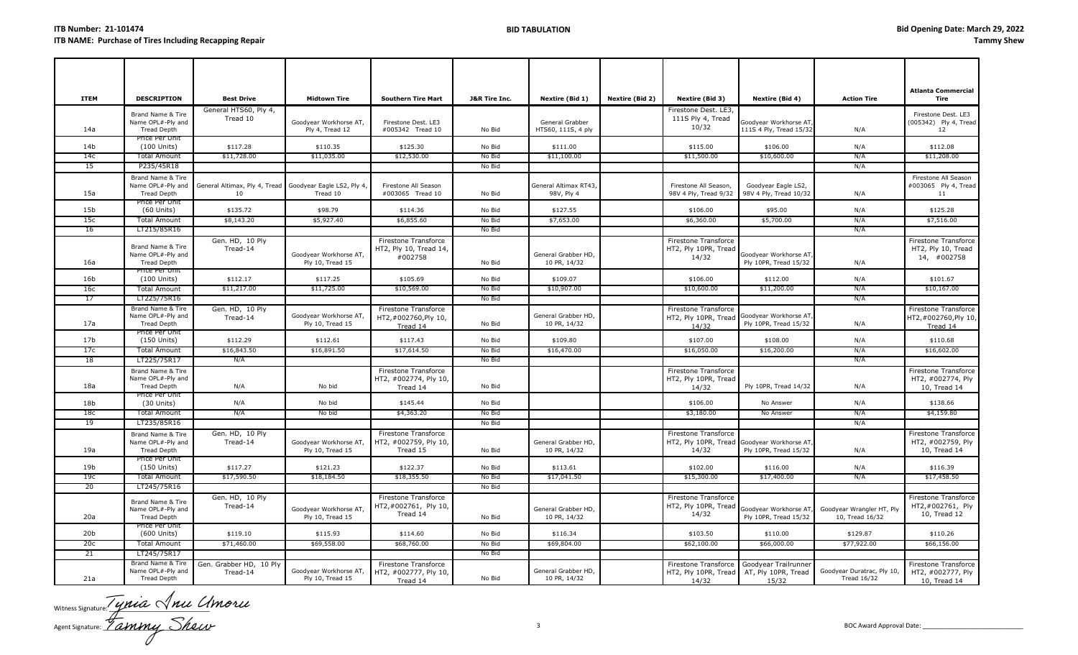| <b>ITEM</b>     | <b>DESCRIPTION</b>                                           | <b>Best Drive</b>                                              | <b>Midtown Tire</b>                        | <b>Southern Tire Mart</b>                                 | <b>J&amp;R Tire Inc.</b> | Nextire (Bid 1)                       | Nextire (Bid 2) | Nextire (Bid 3)                                                             | Nextire (Bid 4)                                  | <b>Action Tire</b>                               | <b>Atlanta Commercial</b><br>Tire                         |
|-----------------|--------------------------------------------------------------|----------------------------------------------------------------|--------------------------------------------|-----------------------------------------------------------|--------------------------|---------------------------------------|-----------------|-----------------------------------------------------------------------------|--------------------------------------------------|--------------------------------------------------|-----------------------------------------------------------|
| 14a             | Brand Name & Tire<br>Name OPL#-Ply and<br><b>Tread Depth</b> | General HTS60, Ply 4,<br>Tread 10                              | Goodyear Workhorse AT,<br>Ply 4, Tread 12  | Firestone Dest. LE3<br>#005342 Tread 10                   | No Bid                   | General Grabber<br>HTS60, 111S, 4 ply |                 | Firestone Dest. LE3,<br>111S Ply 4, Tread<br>10/32                          | Goodyear Workhorse AT<br>111S 4 Ply, Tread 15/32 | N/A                                              | Firestone Dest. LE3<br>(005342) Ply 4, Tread<br>12        |
| 14 <sub>b</sub> | Price Per Unit<br>(100 Units)                                | \$117.28                                                       | \$110.35                                   | \$125.30                                                  | No Bid                   | \$111.00                              |                 | \$115.00                                                                    | \$106.00                                         | N/A                                              | \$112.08                                                  |
| 14c             | <b>Total Amount</b>                                          | \$11,728.00                                                    | \$11,035.00                                | \$12,530.00                                               | No Bid                   | \$11,100.00                           |                 | \$11,500.00                                                                 | \$10,600.00                                      | N/A                                              | \$11,208.00                                               |
| 15              | P235/45R18                                                   |                                                                |                                            |                                                           | No Bid                   |                                       |                 |                                                                             |                                                  | N/A                                              |                                                           |
| 15a             | Brand Name & Tire<br>Name OPL#-Ply and<br><b>Tread Depth</b> | General Altimax, Ply 4, Tread Goodyear Eagle LS2, Ply 4,<br>10 | Tread 10                                   | Firestone All Season<br>#003065 Tread 10                  | No Bid                   | General Altimax RT43,<br>98V, Ply 4   |                 | Firestone All Season,<br>98V 4 Ply, Tread 9/32                              | Goodyear Eagle LS2,<br>98V 4 Ply, Tread 10/32    | N/A                                              | Firestone All Season<br>#003065 Ply 4, Tread<br>11        |
| 15 <sub>b</sub> | Price Per Unit<br>$(60$ Units)                               | \$135.72                                                       | \$98.79                                    | \$114.36                                                  | No Bid                   | \$127.55                              |                 | \$106.00                                                                    | \$95.00                                          | N/A                                              | \$125.28                                                  |
| 15c             | <b>Total Amount</b>                                          | \$8,143.20                                                     | \$5,927.40                                 | \$6,855.60                                                | No Bid                   | \$7,653.00                            |                 | \$6,360.00                                                                  | \$5,700.00                                       | N/A                                              | \$7,516.00                                                |
| 16              | LT215/85R16                                                  |                                                                |                                            |                                                           | No Bid                   |                                       |                 |                                                                             |                                                  | N/A                                              |                                                           |
| 16a             | Brand Name & Tire<br>Name OPL#-Ply and<br><b>Tread Depth</b> | Gen. HD, 10 Ply<br>Tread-14                                    | Goodyear Workhorse AT,<br>Ply 10, Tread 15 | Firestone Transforce<br>HT2, Ply 10, Tread 14,<br>#002758 | No Bid                   | General Grabber HD,<br>10 PR, 14/32   |                 | Firestone Transforce<br>HT2, Ply 10PR, Tread<br>14/32                       | Goodyear Workhorse AT<br>Ply 10PR, Tread 15/32   | N/A                                              | Firestone Transforce<br>HT2, Ply 10, Tread<br>14, #002758 |
| 16b             | Price Per Unit<br>(100 Units)                                | \$112.17                                                       | \$117.25                                   | \$105.69                                                  | No Bid                   | \$109.07                              |                 | \$106.00                                                                    | \$112.00                                         | N/A                                              | \$101.67                                                  |
| 16c             | <b>Total Amount</b>                                          | \$11,217.00                                                    | \$11,725.00                                | \$10,569.00                                               | No Bid                   | \$10,907.00                           |                 | \$10,600.00                                                                 | \$11,200.00                                      | N/A                                              | \$10,167.00                                               |
| 17              | LT225/75R16                                                  |                                                                |                                            |                                                           | No Bid                   |                                       |                 |                                                                             |                                                  | N/A                                              |                                                           |
| 17a             | Brand Name & Tire<br>Name OPL#-Ply and<br><b>Tread Depth</b> | Gen. HD, 10 Ply<br>Tread-14                                    | Goodyear Workhorse AT,<br>Ply 10, Tread 15 | Firestone Transforce<br>HT2,#002760,Ply 10,<br>Tread 14   | No Bid                   | General Grabber HD,<br>10 PR, 14/32   |                 | Firestone Transforce<br>HT2, Ply 10PR, Tread<br>14/32                       | Goodyear Workhorse AT<br>Ply 10PR, Tread 15/32   | N/A                                              | Firestone Transforce<br>HT2,#002760,Ply 10,<br>Tread 14   |
| 17 <sub>b</sub> | Price Per Unit<br>(150 Units)                                | \$112.29                                                       | \$112.61                                   | \$117.43                                                  | No Bid                   | \$109.80                              |                 | \$107.00                                                                    | \$108.00                                         | N/A                                              | \$110.68                                                  |
| 17c             | <b>Total Amount</b>                                          | \$16,843.50                                                    | \$16,891.50                                | \$17,614.50                                               | No Bid                   | \$16,470.00                           |                 | \$16,050.00                                                                 | \$16,200.00                                      | N/A                                              | \$16,602.00                                               |
| 18              | LT225/75R17                                                  | N/A                                                            |                                            |                                                           | No Bid                   |                                       |                 |                                                                             |                                                  | N/A                                              |                                                           |
| 18a             | Brand Name & Tire<br>Name OPL#-Ply and<br><b>Tread Depth</b> | N/A                                                            | No bid                                     | Firestone Transforce<br>HT2, #002774, Ply 10,<br>Tread 14 | No Bid                   |                                       |                 | <b>Firestone Transforce</b><br>HT2, Ply 10PR, Tread<br>14/32                | Ply 10PR, Tread 14/32                            | N/A                                              | Firestone Transforce<br>HT2, #002774, Ply<br>10, Tread 14 |
| 18b             | Price Per Unit<br>$(30$ Units)                               | N/A                                                            | No bid                                     | \$145.44                                                  | No Bid                   |                                       |                 | \$106.00                                                                    | No Answer                                        | N/A                                              | \$138.66                                                  |
| 18с             | <b>Total Amount</b>                                          | N/A                                                            | No bid                                     | \$4,363.20                                                | No Bid                   |                                       |                 | \$3,180.00                                                                  | No Answer                                        | N/A                                              | \$4,159.80                                                |
| 19              | LT235/85R16                                                  |                                                                |                                            |                                                           | No Bid                   |                                       |                 |                                                                             |                                                  | N/A                                              |                                                           |
| 19a             | Brand Name & Tire<br>Name OPL#-Ply and<br><b>Tread Depth</b> | Gen. HD, 10 Ply<br>Tread-14                                    | Goodyear Workhorse AT,<br>Ply 10, Tread 15 | Firestone Transforce<br>HT2, #002759, Ply 10,<br>Tread 15 | No Bid                   | General Grabber HD,<br>10 PR, 14/32   |                 | Firestone Transforce<br>HT2, Ply 10PR, Tread Goodyear Workhorse AT<br>14/32 | Ply 10PR, Tread 15/32                            | N/A                                              | Firestone Transforce<br>HT2, #002759, Ply<br>10, Tread 14 |
| 19b             | Price Per Unit<br>(150 Units)                                | \$117.27                                                       | \$121.23                                   | \$122.37                                                  | No Bid                   | \$113.61                              |                 | \$102.00                                                                    | \$116.00                                         | N/A                                              | \$116.39                                                  |
| 19 <sub>c</sub> | <b>Total Amount</b>                                          | \$17,590.50                                                    | \$18,184.50                                | \$18,355.50                                               | No Bid                   | \$17,041.50                           |                 | \$15,300.00                                                                 | \$17,400.00                                      | N/A                                              | \$17,458.50                                               |
| 20              | LT245/75R16                                                  |                                                                |                                            |                                                           | No Bid                   |                                       |                 |                                                                             |                                                  |                                                  |                                                           |
| 20a             | Brand Name & Tire<br>Name OPL#-Ply and<br><b>Tread Depth</b> | Gen. HD, 10 Ply<br>Tread-14                                    | Goodyear Workhorse AT,<br>Ply 10, Tread 15 | Firestone Transforce<br>HT2,#002761, Ply 10,<br>Tread 14  | No Bid                   | General Grabber HD,<br>10 PR, 14/32   |                 | Firestone Transforce<br>HT2, Ply 10PR, Tread<br>14/32                       | Goodyear Workhorse AT<br>Ply 10PR, Tread 15/32   | Goodyear Wrangler HT, Ply<br>10, Tread 16/32     | Firestone Transforce<br>HT2,#002761, Ply<br>10, Tread 12  |
| 20 <sub>b</sub> | Price Per Unit<br>(600 Units)                                | \$119.10                                                       | \$115.93                                   | \$114.60                                                  | No Bid                   | \$116.34                              |                 | \$103.50                                                                    | \$110.00                                         | \$129.87                                         | \$110.26                                                  |
| 20c             | <b>Total Amount</b>                                          | \$71,460.00                                                    | \$69,558.00                                | \$68,760.00                                               | No Bid                   | \$69,804.00                           |                 | \$62,100.00                                                                 | \$66,000.00                                      | \$77,922.00                                      | \$66,156.00                                               |
| 21              | LT245/75R17                                                  |                                                                |                                            |                                                           | No Bid                   |                                       |                 |                                                                             |                                                  |                                                  |                                                           |
| 21a             | Brand Name & Tire<br>Name OPL#-Ply and<br><b>Tread Depth</b> | Gen. Grabber HD, 10 Ply<br>Tread-14                            | Goodyear Workhorse AT,<br>Ply 10, Tread 15 | Firestone Transforce<br>HT2, #002777, Ply 10,<br>Tread 14 | No Bid                   | General Grabber HD,<br>10 PR, 14/32   |                 | Firestone Transforce<br>HT2, Ply 10PR, Tread AT, Ply 10PR, Tread<br>14/32   | Goodyear Trailrunner<br>15/32                    | Goodyear Duratrac, Ply 10,<br><b>Tread 16/32</b> | Firestone Transforce<br>HT2, #002777, Ply<br>10, Tread 14 |

Witness Signature:  $\frac{1}{2}$ Agent Signature: \_\_\_\_\_\_\_\_\_\_\_\_\_\_\_\_\_\_\_\_\_\_\_\_\_\_\_\_\_\_\_ 3 BOC Award Approval Date: \_\_\_\_\_\_\_\_\_\_\_\_\_\_\_\_\_\_\_\_\_\_\_\_\_\_\_\_\_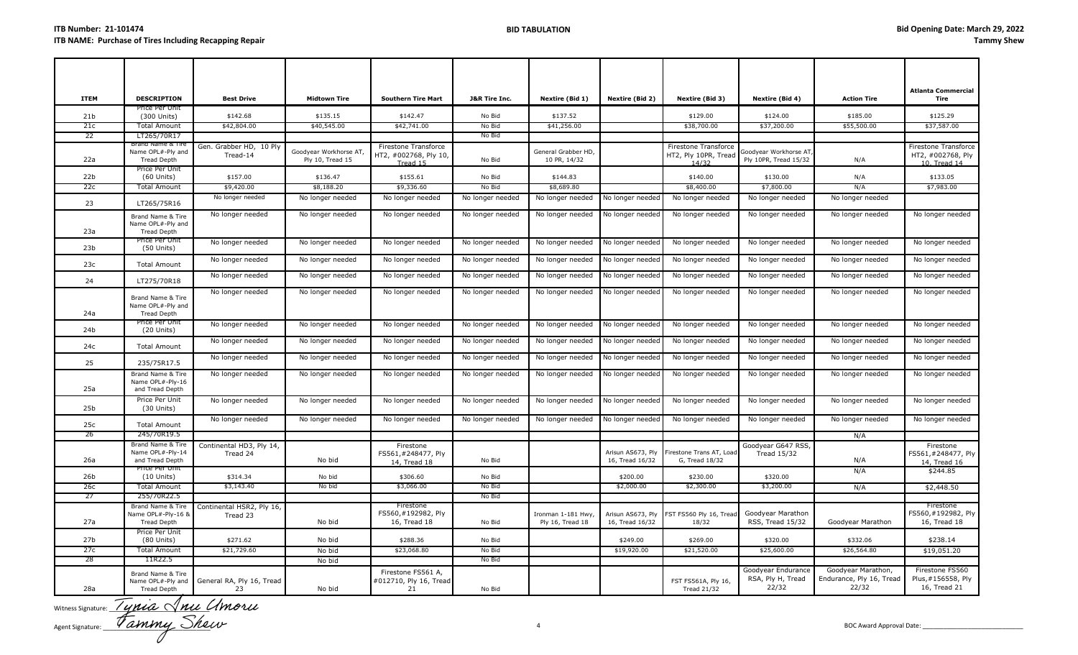| <b>ITEM</b>     | <b>DESCRIPTION</b>                                            | <b>Best Drive</b>                     | <b>Midtown Tire</b>                       | <b>Southern Tire Mart</b>                                 | <b>J&amp;R Tire Inc.</b> | Nextire (Bid 1)                        | Nextire (Bid 2)                      | Nextire (Bid 3)                                              | Nextire (Bid 4)                                  | <b>Action Tire</b>                                      | <b>Atlanta Commercial</b><br>Tire                         |
|-----------------|---------------------------------------------------------------|---------------------------------------|-------------------------------------------|-----------------------------------------------------------|--------------------------|----------------------------------------|--------------------------------------|--------------------------------------------------------------|--------------------------------------------------|---------------------------------------------------------|-----------------------------------------------------------|
| 21 <sub>b</sub> | Price Per Unit<br>(300 Units)                                 | \$142.68                              | \$135.15                                  | \$142.47                                                  | No Bid                   | \$137.52                               |                                      | \$129.00                                                     | \$124.00                                         | \$185.00                                                | \$125.29                                                  |
| 21c             | <b>Total Amount</b>                                           | \$42,804.00                           | \$40,545.00                               | \$42,741.00                                               | No Bid                   | \$41,256.00                            |                                      | \$38,700.00                                                  | \$37,200.00                                      | \$55,500.00                                             | \$37,587.00                                               |
| 22              | LT265/70R17                                                   |                                       |                                           |                                                           | No Bid                   |                                        |                                      |                                                              |                                                  |                                                         |                                                           |
| 22a             | Brand Name & Tire<br>Name OPL#-Ply and<br><b>Tread Depth</b>  | Gen. Grabber HD, 10 Ply<br>Tread-14   | Goodyear Workhorse AT<br>Ply 10, Tread 15 | Firestone Transforce<br>HT2, #002768, Ply 10,<br>Tread 15 | No Bid                   | General Grabber HD,<br>10 PR, 14/32    |                                      | <b>Firestone Transforce</b><br>HT2, Ply 10PR, Tread<br>14/32 | Goodyear Workhorse AT<br>Ply 10PR, Tread 15/32   | N/A                                                     | Firestone Transforce<br>HT2, #002768, Ply<br>10. Tread 14 |
| 22 <sub>b</sub> | Price Per Unit<br>$(60$ Units)                                | \$157.00                              | \$136.47                                  | \$155.61                                                  | No Bid                   | \$144.83                               |                                      | \$140.00                                                     | \$130.00                                         | N/A                                                     | \$133.05                                                  |
| 22c             | Total Amount                                                  | \$9,420.00                            | \$8,188.20                                | \$9,336.60                                                | No Bid                   | \$8,689.80                             |                                      | \$8,400.00                                                   | \$7,800.00                                       | N/A                                                     | \$7,983.00                                                |
| 23              | LT265/75R16                                                   | No longer needed                      | No longer needed                          | No longer needed                                          | No longer needed         | No longer needed                       | No longer needed                     | No longer needed                                             | No longer needed                                 | No longer needed                                        |                                                           |
| 23a             | Brand Name & Tire<br>Name OPL#-Ply and<br><b>Tread Depth</b>  | No longer needed                      | No longer needed                          | No longer needed                                          | No longer needed         | No longer needed                       | No longer needed                     | No longer needed                                             | No longer needed                                 | No longer needed                                        | No longer needed                                          |
| 23 <sub>b</sub> | Price Per Unit<br>$(50$ Units)                                | No longer needed                      | No longer needed                          | No longer needed                                          | No longer needed         | No longer needed                       | No longer needed                     | No longer needed                                             | No longer needed                                 | No longer needed                                        | No longer needed                                          |
| 23c             | <b>Total Amount</b>                                           | No longer needed                      | No longer needed                          | No longer needed                                          | No longer needed         | No longer needed                       | No longer needed                     | No longer needed                                             | No longer needed                                 | No longer needed                                        | No longer needed                                          |
| 24              | LT275/70R18                                                   | No longer needed                      | No longer needed                          | No longer needed                                          | No longer needed         | No longer needed                       | No longer needed                     | No longer needed                                             | No longer needed                                 | No longer needed                                        | No longer needed                                          |
| 24a             | Brand Name & Tire<br>Name OPL#-Ply and<br><b>Tread Depth</b>  | No longer needed                      | No longer needed                          | No longer needed                                          | No longer needed         | No longer needed                       | No longer needed                     | No longer needed                                             | No longer needed                                 | No longer needed                                        | No longer needed                                          |
| 24b             | Price Per Unit<br>$(20$ Units)                                | No longer needed                      | No longer needed                          | No longer needed                                          | No longer needed         | No longer needed                       | No longer needed                     | No longer needed                                             | No longer needed                                 | No longer needed                                        | No longer needed                                          |
| 24c             | <b>Total Amount</b>                                           | No longer needed                      | No longer needed                          | No longer needed                                          | No longer needed         | No longer needed                       | No longer needed                     | No longer needed                                             | No longer needed                                 | No longer needed                                        | No longer needed                                          |
| 25              | 235/75R17.5                                                   | No longer needed                      | No longer needed                          | No longer needed                                          | No longer needed         | No longer needed                       | No longer needed                     | No longer needed                                             | No longer needed                                 | No longer needed                                        | No longer needed                                          |
| 25a             | Brand Name & Tire<br>Name OPL#-Ply-16<br>and Tread Depth      | No longer needed                      | No longer needed                          | No longer needed                                          | No longer needed         | No longer needed                       | No longer needed                     | No longer needed                                             | No longer needed                                 | No longer needed                                        | No longer needed                                          |
| 25 <sub>b</sub> | Price Per Unit<br>$(30$ Units)                                | No longer needed                      | No longer needed                          | No longer needed                                          | No longer needed         | No longer needed                       | No longer needed                     | No longer needed                                             | No longer needed                                 | No longer needed                                        | No longer needed                                          |
| 25c             | <b>Total Amount</b>                                           | No longer needed                      | No longer needed                          | No longer needed                                          | No longer needed         | No longer needed                       | No longer needed                     | No longer needed                                             | No longer needed                                 | No longer needed                                        | No longer needed                                          |
| -26             | 245/70R19.5                                                   |                                       |                                           |                                                           |                          |                                        |                                      |                                                              |                                                  | N/A                                                     |                                                           |
| 26a             | Brand Name & Tire<br>Name OPL#-Ply-14<br>and Tread Depth      | Continental HD3, Ply 14,<br>Tread 24  | No bid                                    | Firestone<br>FS561,#248477, Ply<br>14, Tread 18           | No Bid                   |                                        | Arisun AS673, Ply<br>16, Tread 16/32 | irestone Trans AT, Load<br>G, Tread 18/32                    | Goodyear G647 RSS,<br><b>Tread 15/32</b>         | N/A                                                     | Firestone<br>FS561,#248477, Ply<br>14, Tread 16           |
| 26b             | Price Per Unit<br>$(10$ Units)                                | \$314.34                              | No bid                                    | \$306.60                                                  | No Bid                   |                                        | \$200.00                             | \$230.00                                                     | \$320.00                                         | N/A                                                     | \$244.85                                                  |
| 26c             | <b>Total Amount</b>                                           | \$3,143.40                            | No bid                                    | \$3,066.00                                                | No Bid                   |                                        | \$2,000.00                           | \$2,300.00                                                   | \$3,200.00                                       | N/A                                                     | \$2,448.50                                                |
| 27              | 255/70R22.5                                                   |                                       |                                           |                                                           | No Bid                   |                                        |                                      |                                                              |                                                  |                                                         |                                                           |
| 27a             | Brand Name & Tire<br>Name OPL#-Ply-16 &<br><b>Tread Depth</b> | Continental HSR2, Ply 16,<br>Tread 23 | No bid                                    | Firestone<br>FS560, #192982, Ply<br>16, Tread 18          | No Bid                   | Ironman 1-181 Hwy,<br>Ply 16, Tread 18 | Arisun AS673, Ply<br>16, Tread 16/32 | FST FS560 Ply 16, Tread<br>18/32                             | Goodyear Marathon<br>RSS, Tread 15/32            | Goodyear Marathon                                       | <b>Firestone</b><br>FS560,#192982, Ply<br>16, Tread 18    |
| 27 <sub>b</sub> | Price Per Unit<br>$(80$ Units)                                | \$271.62                              | No bid                                    | \$288.36                                                  | No Bid                   |                                        | \$249.00                             | \$269.00                                                     | \$320.00                                         | \$332.06                                                | \$238.14                                                  |
| 27c             | <b>Total Amount</b>                                           | \$21,729.60                           | No bid                                    | \$23,068.80                                               | No Bid                   |                                        | \$19,920.00                          | \$21,520.00                                                  | \$25,600.00                                      | \$26,564.80                                             | \$19,051.20                                               |
| -28             | 11R22.5                                                       |                                       | No bid                                    |                                                           | No Bid                   |                                        |                                      |                                                              |                                                  |                                                         |                                                           |
| 28a             | Brand Name & Tire<br>Name OPL#-Ply and<br><b>Tread Depth</b>  | General RA, Ply 16, Tread<br>23       | No bid                                    | Firestone FS561 A,<br>#012710, Ply 16, Tread<br>21        | No Bid                   |                                        |                                      | FST FS561A, Ply 16,<br><b>Tread 21/32</b>                    | Goodyear Endurance<br>RSA, Ply H, Tread<br>22/32 | Goodyear Marathon,<br>Endurance, Ply 16, Tread<br>22/32 | Firestone FS560<br>Plus, #156558, Ply<br>16, Tread 21     |

Witness Signature:  $\frac{1}{2}$   $\frac{1}{2}$   $\frac{1}{2}$   $\frac{1}{2}$   $\frac{1}{2}$   $\frac{1}{2}$   $\frac{1}{2}$   $\frac{1}{2}$   $\frac{1}{2}$   $\frac{1}{2}$   $\frac{1}{2}$   $\frac{1}{2}$   $\frac{1}{2}$   $\frac{1}{2}$   $\frac{1}{2}$   $\frac{1}{2}$   $\frac{1}{2}$   $\frac{1}{2}$   $\frac{1}{2}$   $\frac{1}{2}$   $\$ Agent Signature: \_\_\_\_\_\_\_\_\_\_\_\_\_\_\_\_\_\_\_\_\_\_\_\_\_\_\_\_\_\_\_ 4 BOC Award Approval Date: \_\_\_\_\_\_\_\_\_\_\_\_\_\_\_\_\_\_\_\_\_\_\_\_\_\_\_\_\_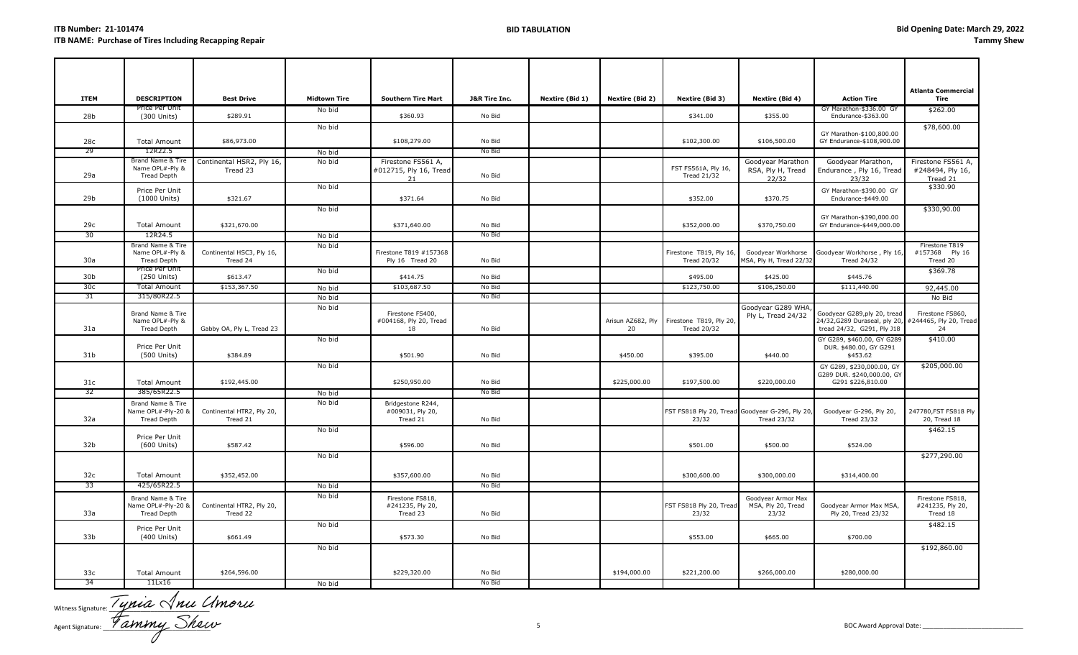| <b>ITEM</b>     | <b>DESCRIPTION</b>                                         | <b>Best Drive</b>                     | <b>Midtown Tire</b> | <b>Southern Tire Mart</b>                          | <b>J&amp;R Tire Inc.</b> | Nextire (Bid 1) | Nextire (Bid 2)         | Nextire (Bid 3)                                          | Nextire (Bid 4)                                   | <b>Action Tire</b>                                                                                                | <b>Atlanta Commercial</b><br>Tire                  |
|-----------------|------------------------------------------------------------|---------------------------------------|---------------------|----------------------------------------------------|--------------------------|-----------------|-------------------------|----------------------------------------------------------|---------------------------------------------------|-------------------------------------------------------------------------------------------------------------------|----------------------------------------------------|
| 28b             | Price Per Unit<br>(300 Units)                              | \$289.91                              | No bid              | \$360.93                                           | No Bid                   |                 |                         | \$341.00                                                 | \$355.00                                          | GY Marathon-\$336.00 GY<br>Endurance-\$363.00                                                                     | \$262.00                                           |
|                 |                                                            |                                       | No bid              |                                                    |                          |                 |                         |                                                          |                                                   | GY Marathon-\$100,800.00                                                                                          | \$78,600.00                                        |
| 28c             | <b>Total Amount</b>                                        | \$86,973.00                           |                     | \$108,279.00                                       | No Bid                   |                 |                         | \$102,300.00                                             | \$106,500.00                                      | GY Endurance-\$108,900.00                                                                                         |                                                    |
| 29              | 12R22.5                                                    |                                       | No bid              |                                                    | No Bid                   |                 |                         |                                                          |                                                   |                                                                                                                   |                                                    |
| 29a             | Brand Name & Tire<br>Name OPL#-Ply &<br>Tread Depth        | Continental HSR2, Ply 16,<br>Tread 23 | No bid              | Firestone FS561 A,<br>#012715, Ply 16, Tread<br>21 | No Bid                   |                 |                         | FST FS561A, Ply 16,<br><b>Tread 21/32</b>                | Goodyear Marathon<br>RSA, Ply H, Tread<br>22/32   | Goodyear Marathon,<br>Endurance, Ply 16, Tread<br>23/32                                                           | Firestone FS561 A,<br>#248494, Ply 16,<br>Tread 21 |
| 29b             | Price Per Unit<br>(1000 Units)                             | \$321.67                              | No bid              | \$371.64                                           | No Bid                   |                 |                         | \$352.00                                                 | \$370.75                                          | GY Marathon-\$390.00 GY<br>Endurance-\$449.00                                                                     | \$330.90                                           |
| 29с             | <b>Total Amount</b>                                        | \$321,670.00                          | No bid              | \$371,640.00                                       | No Bid                   |                 |                         | \$352,000.00                                             | \$370,750.00                                      | GY Marathon-\$390,000.00<br>GY Endurance-\$449,000.00                                                             | \$330,90.00                                        |
| 30              | 12R24.5                                                    |                                       | No bid              |                                                    | No Bid                   |                 |                         |                                                          |                                                   |                                                                                                                   |                                                    |
| 30a             | Brand Name & Tire<br>Name OPL#-Ply &<br><b>Tread Depth</b> | Continental HSC3, Ply 16,<br>Tread 24 | No bid              | Firestone T819 #157368<br>Ply 16 Tread 20          | No Bid                   |                 |                         | Firestone T819, Ply 16<br><b>Tread 20/32</b>             | Goodyear Workhorse<br>MSA, Ply H, Tread 22/32     | Goodyear Workhorse , Ply 16,<br><b>Tread 24/32</b>                                                                | Firestone T819<br>#157368 Ply 16<br>Tread 20       |
| 30 <sub>b</sub> | Price Per Unit<br>(250 Units)                              | \$613.47                              | No bid              | \$414.75                                           | No Bid                   |                 |                         | \$495.00                                                 | \$425.00                                          | \$445.76                                                                                                          | \$369.78                                           |
| 30 <sub>c</sub> | <b>Total Amount</b>                                        | \$153,367.50                          | No bid              | \$103,687.50                                       | No Bid                   |                 |                         | \$123,750.00                                             | \$106,250.00                                      | \$111,440.00                                                                                                      | 92,445.00                                          |
| 31              | 315/80R22.5                                                |                                       | No bid              |                                                    | No Bid                   |                 |                         |                                                          |                                                   |                                                                                                                   | No Bid                                             |
| 31a             | Brand Name & Tire<br>Name OPL#-Ply &<br>Tread Depth        | Gabby OA, Ply L, Tread 23             | No bid              | Firestone FS400,<br>#004168, Ply 20, Tread<br>18   | No Bid                   |                 | Arisun AZ682, Ply<br>20 | Firestone T819, Ply 20,<br><b>Tread 20/32</b>            | Goodyear G289 WHA<br>Ply L, Tread 24/32           | Goodyear G289,ply 20, tread<br>24/32, G289 Duraseal, ply 20, #244465, Ply 20, Tread<br>tread 24/32, G291, Ply J18 | Firestone FS860,<br>24                             |
| 31b             | Price Per Unit<br>(500 Units)                              | \$384.89                              | No bid              | \$501.90                                           | No Bid                   |                 | \$450.00                | \$395.00                                                 | \$440.00                                          | GY G289, \$460.00, GY G289<br>DUR. \$480.00, GY G291<br>\$453.62                                                  | \$410.00                                           |
| 31c             | <b>Total Amount</b>                                        | \$192,445.00                          | No bid              | \$250,950.00                                       | No Bid                   |                 | \$225,000.00            | \$197,500.00                                             | \$220,000.00                                      | GY G289, \$230,000.00, GY<br>G289 DUR. \$240,000.00, GY<br>G291 \$226,810.00                                      | \$205,000.00                                       |
| 32              | 385/65R22.5                                                |                                       | No bid              |                                                    | No Bid                   |                 |                         |                                                          |                                                   |                                                                                                                   |                                                    |
| 32a             | Brand Name & Tire<br>Name OPL#-Ply-20 &<br>Tread Depth     | Continental HTR2, Ply 20,<br>Tread 21 | No bid              | Bridgestone R244,<br>#009031, Ply 20,<br>Tread 21  | No Bid                   |                 |                         | FST FS818 Ply 20, Tread Goodyear G-296, Ply 20,<br>23/32 | Tread 23/32                                       | Goodyear G-296, Ply 20,<br><b>Tread 23/32</b>                                                                     | 247780, FST FS818 Ply<br>20, Tread 18              |
| 32b             | Price Per Unit<br>(600 Units)                              | \$587.42                              | No bid              | \$596.00                                           | No Bid                   |                 |                         | \$501.00                                                 | \$500.00                                          | \$524.00                                                                                                          | \$462.15                                           |
|                 |                                                            |                                       | No bid              |                                                    |                          |                 |                         |                                                          |                                                   |                                                                                                                   | \$277,290.00                                       |
| 32c             | <b>Total Amount</b>                                        | \$352,452.00                          |                     | \$357,600.00                                       | No Bid                   |                 |                         | \$300,600.00                                             | \$300,000.00                                      | \$314,400.00                                                                                                      |                                                    |
| 33              | 425/65R22.5                                                |                                       | No bid              |                                                    | No Bid                   |                 |                         |                                                          |                                                   |                                                                                                                   |                                                    |
| 33a             | Brand Name & Tire<br>Name OPL#-Ply-20 &<br>Tread Depth     | Continental HTR2, Ply 20,<br>Tread 22 | No bid              | Firestone FS818,<br>#241235, Ply 20,<br>Tread 23   | No Bid                   |                 |                         | FST FS818 Ply 20, Tread<br>23/32                         | Goodyear Armor Max<br>MSA, Ply 20, Tread<br>23/32 | Goodyear Armor Max MSA,<br>Ply 20, Tread 23/32                                                                    | Firestone FS818,<br>#241235, Ply 20,<br>Tread 18   |
| 33b             | Price Per Unit<br>(400 Units)                              | \$661.49                              | No bid              | \$573.30                                           | No Bid                   |                 |                         | \$553.00                                                 | \$665.00                                          | \$700.00                                                                                                          | \$482.15                                           |
|                 |                                                            |                                       | No bid              |                                                    |                          |                 |                         |                                                          |                                                   |                                                                                                                   | \$192,860.00                                       |
| 33 <sub>c</sub> | <b>Total Amount</b>                                        | \$264,596.00                          |                     | \$229,320.00                                       | No Bid                   |                 | \$194,000.00            | \$221,200.00                                             | \$266,000.00                                      | \$280,000.00                                                                                                      |                                                    |
| 34              | 11Lx16                                                     |                                       | No bid              |                                                    | No Bid                   |                 |                         |                                                          |                                                   |                                                                                                                   |                                                    |

Witness Signature: Practice Practice Agent Signature: TUMMU SIDUM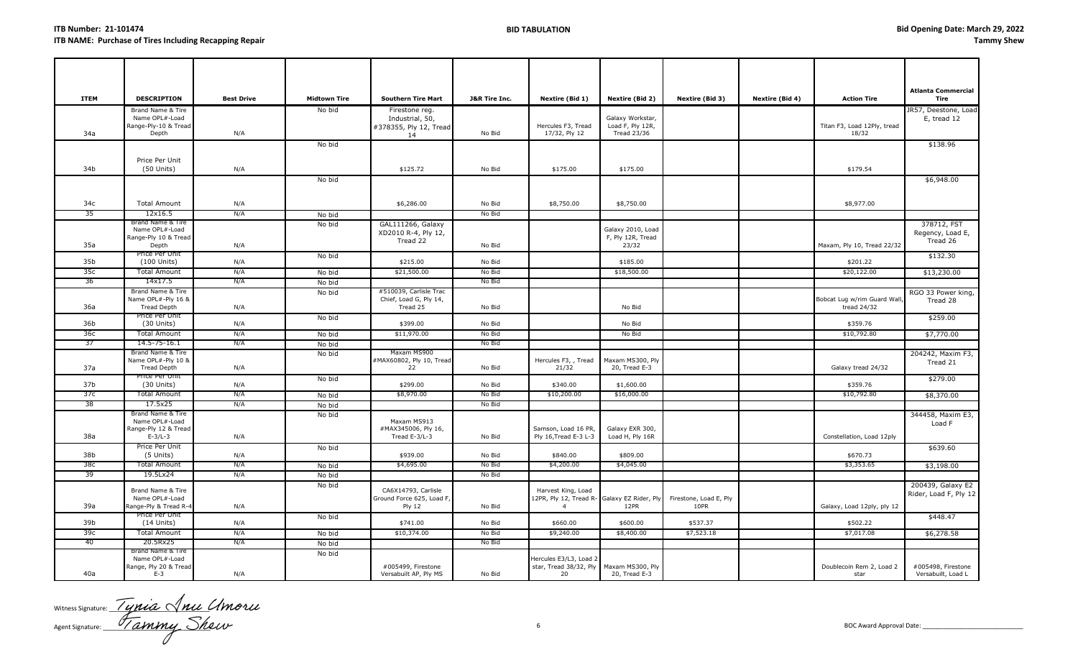| <b>ITEM</b>     | <b>DESCRIPTION</b>                                                       | <b>Best Drive</b> | <b>Midtown Tire</b> | <b>Southern Tire Mart</b>                                         | <b>J&amp;R Tire Inc.</b> | Nextire (Bid 1)                                                                     | Nextire (Bid 2)                                     | Nextire (Bid 3)                | Nextire (Bid 4) | <b>Action Tire</b>                          | <b>Atlanta Commercial</b><br>Tire           |
|-----------------|--------------------------------------------------------------------------|-------------------|---------------------|-------------------------------------------------------------------|--------------------------|-------------------------------------------------------------------------------------|-----------------------------------------------------|--------------------------------|-----------------|---------------------------------------------|---------------------------------------------|
| 34a             | Brand Name & Tire<br>Name OPL#-Load<br>Range-Ply-10 & Tread<br>Depth     | N/A               | No bid              | Firestone reg.<br>Industrial, 50,<br>#378355, Ply 12, Tread<br>14 | No Bid                   | Hercules F3, Tread<br>17/32, Ply 12                                                 | Galaxy Workstar,<br>Load F, Ply 12R,<br>Tread 23/36 |                                |                 | Titan F3, Load 12Ply, tread<br>18/32        | JR57, Deestone, Load<br>E, tread 12         |
| 34b             | Price Per Unit<br>$(50$ Units)                                           | N/A               | No bid              | \$125.72                                                          | No Bid                   | \$175.00                                                                            | \$175.00                                            |                                |                 | \$179.54                                    | \$138.96                                    |
|                 |                                                                          |                   | No bid              |                                                                   |                          |                                                                                     |                                                     |                                |                 |                                             | \$6,948.00                                  |
| 34c             | <b>Total Amount</b>                                                      | N/A               |                     | \$6,286.00                                                        | No Bid                   | \$8,750.00                                                                          | \$8,750.00                                          |                                |                 | \$8,977.00                                  |                                             |
| 35              | 12x16.5                                                                  | N/A               | No bid              |                                                                   | No Bid                   |                                                                                     |                                                     |                                |                 |                                             |                                             |
| 35a             | Brand Name & Tire<br>Name OPL#-Load<br>Range-Ply 10 & Tread<br>Depth     | N/A               | No bid              | GAL111266, Galaxy<br>XD2010 R-4, Ply 12,<br>Tread 22              | No Bid                   |                                                                                     | Galaxy 2010, Load<br>F, Ply 12R, Tread<br>23/32     |                                |                 | Maxam, Ply 10, Tread 22/32                  | 378712, FST<br>Regency, Load E,<br>Tread 26 |
| 35b             | Price Per Unit<br>$(100$ Units)                                          | N/A               | No bid              | \$215.00                                                          | No Bid                   |                                                                                     | \$185.00                                            |                                |                 | \$201.22                                    | \$132.30                                    |
| 35с             | <b>Total Amount</b>                                                      | N/A               | No bid              | \$21,500.00                                                       | No Bid                   |                                                                                     | \$18,500.00                                         |                                |                 | \$20,122.00                                 | \$13,230.00                                 |
| 36              | 14x17.5                                                                  | N/A               | No bid              |                                                                   | No Bid                   |                                                                                     |                                                     |                                |                 |                                             |                                             |
| 36a             | Brand Name & Tire<br>Name OPL#-Ply 16 &<br>Tread Depth                   | N/A               | No bid              | #510039, Carlisle Trac<br>Chief, Load G, Ply 14,<br>Tread 25      | No Bid                   |                                                                                     | No Bid                                              |                                |                 | Bobcat Lug w/rim Guard Wall,<br>tread 24/32 | RGO 33 Power king,<br>Tread 28              |
|                 | Price Per Unit                                                           |                   | No bid              |                                                                   |                          |                                                                                     |                                                     |                                |                 |                                             | \$259.00                                    |
| 36b             | $(30$ Units)                                                             | N/A               |                     | \$399.00                                                          | No Bid                   |                                                                                     | No Bid                                              |                                |                 | \$359.76                                    |                                             |
| 36с             | <b>Total Amount</b>                                                      | N/A               | No bid              | \$11,970.00                                                       | No Bid<br>No Bid         |                                                                                     | No Bid                                              |                                |                 | \$10,792.80                                 | \$7,770.00                                  |
| 37              | 14.5-75-16.1<br>Brand Name & Tire                                        | N/A               | No bid              | Maxam MS900                                                       |                          |                                                                                     |                                                     |                                |                 |                                             |                                             |
| 37a             | Name OPL#-Ply 10 &<br><b>Tread Depth</b>                                 | N/A               | No bid              | #MAX60802, Ply 10, Tread<br>22                                    | No Bid                   | Hercules F3, , Tread<br>21/32                                                       | Maxam MS300, Ply<br>20, Tread E-3                   |                                |                 | Galaxy tread 24/32                          | 204242, Maxim F3,<br>Tread 21               |
| 37b             | Price Per Unit<br>$(30$ Units)                                           | N/A               | No bid              | \$299.00                                                          | No Bid                   | \$340.00                                                                            | \$1,600.00                                          |                                |                 | \$359.76                                    | \$279.00                                    |
| 37c             | <b>Total Amount</b>                                                      | N/A               | No bid              | \$8,970.00                                                        | No Bid                   | \$10,200.00                                                                         | \$16,000.00                                         |                                |                 | \$10,792.80                                 | \$8,370.00                                  |
| 38              | 17.5x25                                                                  | N/A               | No bid              |                                                                   | No Bid                   |                                                                                     |                                                     |                                |                 |                                             |                                             |
| 38a             | Brand Name & Tire<br>Name OPL#-Load<br>Range-Ply 12 & Tread<br>$E-3/L-3$ | N/A               | No bid              | Maxam MS913<br>#MAX345006, Ply 16,<br>Tread E-3/L-3               | No Bid                   | Samson, Load 16 PR,<br>Ply 16, Tread E-3 L-3                                        | Galaxy EXR 300,<br>Load H, Ply 16R                  |                                |                 | Constellation, Load 12ply                   | 344458, Maxim E3,<br>Load F                 |
| 38b             | Price Per Unit<br>(5 Units)                                              | N/A               | No bid              | \$939.00                                                          | No Bid                   | \$840.00                                                                            | \$809.00                                            |                                |                 | \$670.73                                    | \$639.60                                    |
| 38с             | Total Amount                                                             | N/A               | No bid              | \$4,695.00                                                        | No Bid                   | \$4,200.00                                                                          | \$4,045.00                                          |                                |                 | \$3,353.65                                  | \$3,198.00                                  |
| 39              | 19.5Lx24                                                                 | N/A               | No bid              |                                                                   | No Bid                   |                                                                                     |                                                     |                                |                 |                                             |                                             |
| 39a             | Brand Name & Tire<br>Name OPL#-Load<br>Range-Ply & Tread R-4             | N/A               | No bid              | CA6X14793, Carlisle<br>Ground Force 625, Load F,<br><b>Ply 12</b> | No Bid                   | Harvest King, Load<br>12PR, Ply 12, Tread R- Galaxy EZ Rider, Ply<br>$\overline{4}$ | 12PR                                                | Firestone, Load E, Ply<br>10PR |                 | Galaxy, Load 12ply, ply 12                  | 200439, Galaxy E2<br>Rider, Load F, Ply 12  |
|                 | Price Per Unit                                                           |                   | No bid              |                                                                   |                          |                                                                                     |                                                     |                                |                 |                                             | \$448.47                                    |
| 39b             | $(14$ Units)                                                             | N/A               |                     | \$741.00                                                          | No Bid                   | \$660.00                                                                            | \$600.00                                            | \$537.37                       |                 | \$502.22                                    |                                             |
| 39 <sub>c</sub> | <b>Total Amount</b>                                                      | N/A               | No bid              | \$10,374.00                                                       | No Bid                   | \$9,240.00                                                                          | \$8,400.00                                          | \$7,523.18                     |                 | \$7,017.08                                  | \$6,278.58                                  |
| -40             | 20.5Rx25                                                                 | N/A               | No bid              |                                                                   | No Bid                   |                                                                                     |                                                     |                                |                 |                                             |                                             |
| 40a             | Brand Name & Tire<br>Name OPL#-Load<br>Range, Ply 20 & Tread<br>$E-3$    | N/A               | No bid              | #005499, Firestone<br>Versabuilt AP, Ply MS                       | No Bid                   | Hercules E3/L3, Load 2<br>star, Tread 38/32, Ply<br>20                              | Maxam MS300, Ply<br>20, Tread E-3                   |                                |                 | Doublecoin Rem 2, Load 2<br>star            | #005498, Firestone<br>Versabuilt, Load L    |

Witness Signature:  $\frac{1}{2}$   $\frac{1}{2}$   $\frac{1}{2}$   $\frac{1}{2}$   $\frac{1}{2}$   $\frac{1}{2}$   $\frac{1}{2}$   $\frac{1}{2}$   $\frac{1}{2}$   $\frac{1}{2}$ Agent Signature: \_\_\_\_\_\_\_\_\_\_\_\_\_\_\_\_\_\_\_\_\_\_\_\_\_\_\_\_\_\_\_ 6 BOC Award Approval Date: \_\_\_\_\_\_\_\_\_\_\_\_\_\_\_\_\_\_\_\_\_\_\_\_\_\_\_\_\_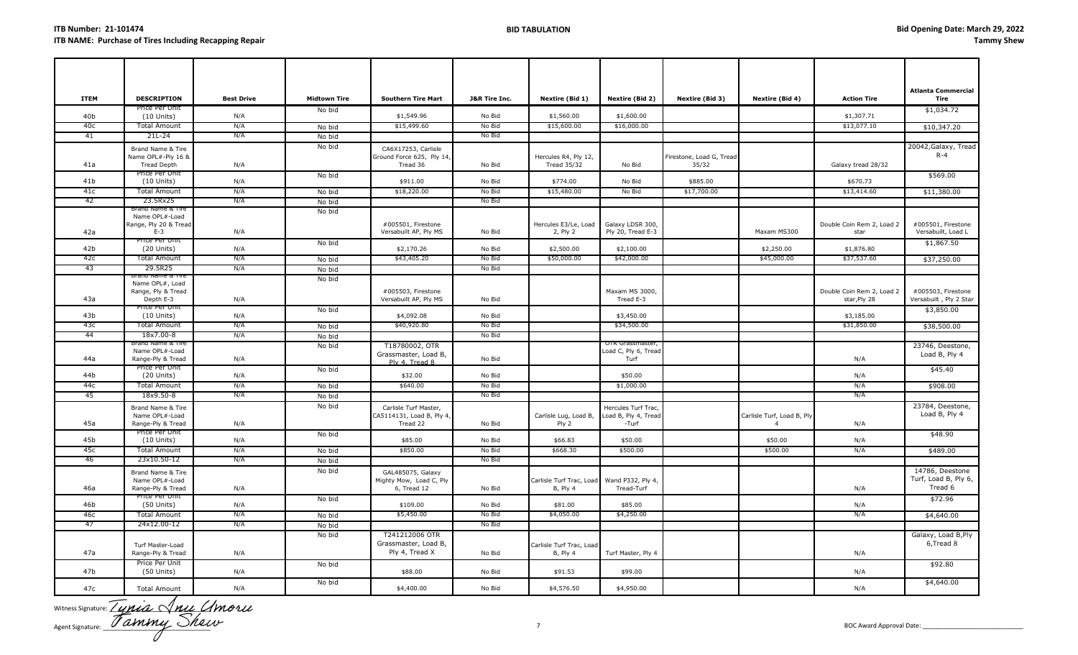| <b>ITEM</b>            | <b>DESCRIPTION</b>                                                    | <b>Best Drive</b> | <b>Midtown Tire</b> | <b>Southern Tire Mart</b>                                      | <b>J&amp;R Tire Inc.</b> | Nextire (Bid 1)                                        | <b>Nextire (Bid 2)</b>                               | Nextire (Bid 3)          | Nextire (Bid 4)            | <b>Action Tire</b>                        | <b>Atlanta Commercial</b><br>Tire                  |
|------------------------|-----------------------------------------------------------------------|-------------------|---------------------|----------------------------------------------------------------|--------------------------|--------------------------------------------------------|------------------------------------------------------|--------------------------|----------------------------|-------------------------------------------|----------------------------------------------------|
| 40b                    | Price Per Unit<br>$(10$ Units)                                        | N/A               | No bid              | \$1,549.96                                                     | No Bid                   | \$1,560.00                                             | \$1,600.00                                           |                          |                            | \$1,307.71                                | \$1,034.72                                         |
| 40с                    | <b>Total Amount</b>                                                   | N/A               | No bid              | \$15,499.60                                                    | No Bid                   | \$15,600.00                                            | \$16,000.00                                          |                          |                            | \$13,077.10                               | \$10,347.20                                        |
| 41                     | 21L-24                                                                | N/A               | No bid              |                                                                | No Bid                   |                                                        |                                                      |                          |                            |                                           |                                                    |
|                        | Brand Name & Tire<br>Name OPL#-Ply 16 &                               |                   | No bid              | CA6X17253, Carlisle<br>Ground Force 625, Ply 14,               |                          | Hercules R4, Ply 12,                                   |                                                      | Firestone, Load G, Tread |                            |                                           | 20042, Galaxy, Tread<br>$R - 4$                    |
| 41a                    | <b>Tread Depth</b>                                                    | N/A               |                     | Tread 36                                                       | No Bid                   | <b>Tread 35/32</b>                                     | No Bid                                               | 35/32                    |                            | Galaxy tread 28/32                        |                                                    |
| 41 <sub>b</sub>        | Price Per Unit<br>$(10$ Units)                                        | N/A               | No bid              | \$911.00                                                       | No Bid                   | \$774.00                                               | No Bid                                               | \$885.00                 |                            | \$670.73                                  | \$569.00                                           |
| 41c                    | <b>Total Amount</b>                                                   | N/A               | No bid              | \$18,220.00                                                    | No Bid                   | \$15,480.00                                            | No Bid                                               | \$17,700.00              |                            | \$13,414.60                               | \$11,380.00                                        |
| 42                     | 23.5Rx25                                                              | N/A               | No bid              |                                                                | No Bid                   |                                                        |                                                      |                          |                            |                                           |                                                    |
| 42a                    | Brand Name & Tire<br>Name OPL#-Load<br>Range, Ply 20 & Tread<br>$E-3$ | N/A               | No bid              | #005501, Firestone<br>Versabuilt AP, Ply MS                    | No Bid                   | Hercules E3/Le, Load<br>2, Ply 2                       | Galaxy LDSR 300,<br>Ply 20, Tread E-3                |                          | Maxam MS300                | Double Coin Rem 2, Load 2                 | #005501, Firestone<br>Versabuilt, Load L           |
|                        | Price Per Unit                                                        |                   | No bid              |                                                                |                          |                                                        |                                                      |                          |                            | star                                      |                                                    |
| 42 <sub>b</sub><br>42с | $(20$ Units)<br><b>Total Amount</b>                                   | N/A<br>N/A        |                     | \$2,170.26<br>\$43,405.20                                      | No Bid<br>No Bid         | \$2,500.00<br>\$50,000.00                              | \$2,100.00<br>\$42,000.00                            |                          | \$2,250.00<br>\$45,000.00  | \$1,876.80<br>\$37,537.60                 | \$1,867.50                                         |
| 43                     | 29.5R25                                                               | N/A               | No bid<br>No bid    |                                                                | No Bid                   |                                                        |                                                      |                          |                            |                                           | \$37,250.00                                        |
|                        |                                                                       |                   | No bid              |                                                                |                          |                                                        |                                                      |                          |                            |                                           |                                                    |
| 43а                    | Name OPL#, Load<br>Range, Ply & Tread<br>Depth E-3                    | N/A               |                     | #005503, Firestone<br>Versabuilt AP, Ply MS                    | No Bid                   |                                                        | Maxam MS 3000,<br>Tread E-3                          |                          |                            | Double Coin Rem 2, Load 2<br>star, Ply 28 | #005503, Firestone<br>Versabuilt, Ply 2 Star       |
| 43 <sub>b</sub>        | Price Per Unit<br>$(10$ Units)                                        | N/A               | No bid              | \$4,092.08                                                     | No Bid                   |                                                        | \$3,450.00                                           |                          |                            | \$3,185.00                                | \$3,850.00                                         |
| 43с                    | <b>Total Amount</b>                                                   | N/A               | No bid              | \$40,920.80                                                    | No Bid                   |                                                        | \$34,500.00                                          |                          |                            | \$31,850.00                               | \$38,500.00                                        |
| 44                     | 18x7.00-8                                                             | N/A               | No bid              |                                                                | No Bid                   |                                                        |                                                      |                          |                            |                                           |                                                    |
| 44a                    | Brand Name & Tire<br>Name OPL#-Load<br>Range-Ply & Tread              | N/A               | No bid              | T18780002, OTR<br>Grassmaster, Load B,<br>Ply 4, Tread 8       | No Bid                   |                                                        | OTR Grassmaster,<br>Load C, Ply 6, Tread<br>Turf     |                          |                            | N/A                                       | 23746, Deestone,<br>Load B, Ply 4                  |
| 44b                    | Price Per Unit<br>$(20$ Units)                                        | N/A               | No bid              | \$32.00                                                        | No Bid                   |                                                        | \$50.00                                              |                          |                            | N/A                                       | \$45.40                                            |
| 44c                    | <b>Total Amount</b>                                                   | N/A               | No bid              | \$640.00                                                       | No Bid                   |                                                        | \$1,000.00                                           |                          |                            | N/A                                       | \$908.00                                           |
| 45                     | 18x9.50-8                                                             | N/A               | No bid              |                                                                | No Bid                   |                                                        |                                                      |                          |                            | N/A                                       |                                                    |
| 45a                    | Brand Name & Tire<br>Name OPL#-Load<br>Range-Ply & Tread              | N/A               | No bid              | Carlisle Turf Master,<br>CA5114131, Load B, Ply 4,<br>Tread 22 | No Bid                   | Carlisle Lug, Load B,<br>Ply 2                         | Hercules Turf Trac,<br>Load B, Ply 4, Tread<br>-Turf |                          | Carlisle Turf, Load B, Ply | N/A                                       | 23784, Deestone,<br>Load B, Ply 4                  |
| 45b                    | Price Per Unit                                                        |                   | No bid              | \$85.00                                                        | No Bid                   | \$66.83                                                | \$50.00                                              |                          | \$50.00                    |                                           | \$48.90                                            |
| 45с                    | $(10$ Units)<br><b>Total Amount</b>                                   | N/A<br>N/A        |                     | \$850.00                                                       | No Bid                   | \$668.30                                               | \$500.00                                             |                          | \$500.00                   | N/A<br>N/A                                | \$489.00                                           |
| -46                    | 23x10.50-12                                                           | N/A               | No bid<br>No bid    |                                                                | No Bid                   |                                                        |                                                      |                          |                            |                                           |                                                    |
| 46a                    | Brand Name & Tire<br>Name OPL#-Load<br>Range-Ply & Tread              | N/A               | No bid              | GAL485075, Galaxy<br>Mighty Mow, Load C, Ply<br>6, Tread 12    | No Bid                   | Carlisle Turf Trac, Load Wand P332, Ply 4,<br>B, Ply 4 | Tread-Turf                                           |                          |                            | N/A                                       | 14786, Deestone<br>Turf, Load B, Ply 6,<br>Tread 6 |
| 46b                    | Price Per Unit<br>(50 Units)                                          | N/A               | No bid              | \$109.00                                                       | No Bid                   | \$81.00                                                | \$85.00                                              |                          |                            | N/A                                       | \$72.96                                            |
| 46с                    | <b>Total Amount</b>                                                   | N/A               | No bid              | \$5,450.00                                                     | No Bid                   | \$4,050.00                                             | \$4,250.00                                           |                          |                            | N/A                                       | \$4,640.00                                         |
| 47                     | 24x12.00-12                                                           | N/A               | No bid              |                                                                | No Bid                   |                                                        |                                                      |                          |                            |                                           |                                                    |
| 47a                    | Turf Master-Load<br>Range-Ply & Tread                                 | N/A               | No bid              | T241212006 OTR<br>Grassmaster, Load B,<br>Ply 4, Tread X       | No Bid                   | Carlisle Turf Trac, Load<br>B, Ply 4                   | Turf Master, Ply 4                                   |                          |                            | N/A                                       | Galaxy, Load B, Ply<br>6, Tread 8                  |
| 47b                    | Price Per Unit<br>(50 Units)                                          | N/A               | No bid              | \$88.00                                                        | No Bid                   | \$91.53                                                | \$99.00                                              |                          |                            | N/A                                       | \$92.80                                            |
| 47c                    | <b>Total Amount</b>                                                   | N/A               | No bid              | \$4,400.00                                                     | No Bid                   | \$4,576.50                                             | \$4,950.00                                           |                          |                            | N/A                                       | \$4,640.00                                         |

Witness Signature:  $\angle$  UMLA  $\vee$  MLL  $\vee$ Agent Signature: \_\_\_\_\_\_\_\_\_\_\_\_\_\_\_\_\_\_\_\_\_\_\_\_\_\_\_\_\_\_\_ 7 BOC Award Approval Date: \_\_\_\_\_\_\_\_\_\_\_\_\_\_\_\_\_\_\_\_\_\_\_\_\_\_\_\_\_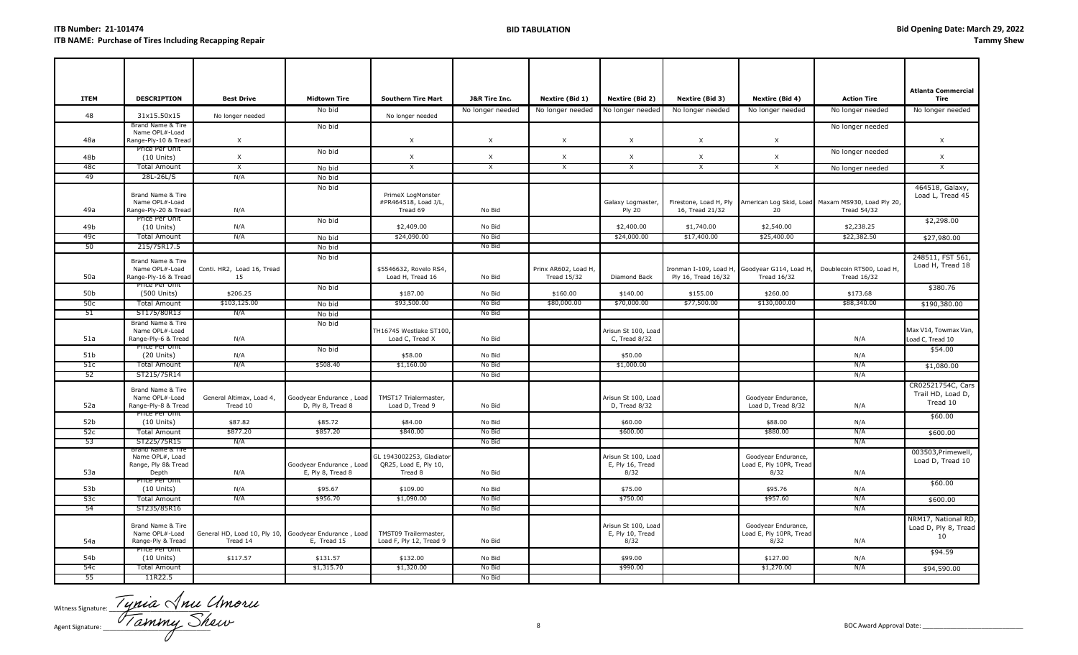| <b>ITEM</b>     | <b>DESCRIPTION</b>                                          | <b>Best Drive</b>                                                 | <b>Midtown Tire</b>                           | <b>Southern Tire Mart</b>                                    | <b>J&amp;R Tire Inc.</b>  | Nextire (Bid 1)                            | <b>Nextire (Bid 2)</b>                          | Nextire (Bid 3)                           | Nextire (Bid 4)                                                     | <b>Action Tire</b>                                                      | <b>Atlanta Commercial</b><br>Tire                  |
|-----------------|-------------------------------------------------------------|-------------------------------------------------------------------|-----------------------------------------------|--------------------------------------------------------------|---------------------------|--------------------------------------------|-------------------------------------------------|-------------------------------------------|---------------------------------------------------------------------|-------------------------------------------------------------------------|----------------------------------------------------|
| 48              | 31x15.50x15                                                 | No longer needed                                                  | No bid                                        | No longer needed                                             | No longer needed          | No longer needed                           | No longer needed                                | No longer needed                          | No longer needed                                                    | No longer needed                                                        | No longer needed                                   |
|                 | Brand Name & Tire<br>Name OPL#-Load                         |                                                                   | No bid                                        |                                                              |                           |                                            |                                                 |                                           |                                                                     | No longer needed                                                        |                                                    |
| 48a             | Range-Ply-10 & Tread                                        | X                                                                 |                                               | $\times$                                                     | $\times$                  | X                                          | X                                               | $\times$                                  | X                                                                   |                                                                         | $\times$                                           |
| 48b             | Price Per Unit<br>$(10$ Units)                              | $\times$                                                          | No bid                                        | $\times$                                                     | $\boldsymbol{\mathsf{X}}$ | $\times$                                   | $\times$                                        | X                                         | X                                                                   | No longer needed                                                        | $\mathsf X$                                        |
| 48с             | <b>Total Amount</b>                                         | X                                                                 | No bid                                        | X                                                            | X                         | X                                          | $\mathsf{X}$                                    | X                                         | $\times$                                                            | No longer needed                                                        | X                                                  |
| 49              | 28L-26L/S                                                   | N/A                                                               | No bid                                        |                                                              |                           |                                            |                                                 |                                           |                                                                     |                                                                         |                                                    |
| 49a             | Brand Name & Tire<br>Name OPL#-Load<br>Range-Ply-20 & Tread | N/A                                                               | No bid                                        | PrimeX LogMonster<br>#PR464518, Load J/L,<br>Tread 69        | No Bid                    |                                            | Galaxy Logmaster,<br><b>Ply 20</b>              | Firestone, Load H, Ply<br>16, Tread 21/32 | 20                                                                  | American Log Skid, Load Maxam MS930, Load Ply 20,<br><b>Tread 54/32</b> | 464518, Galaxy,<br>Load L, Tread 45                |
| 49b             | Price Per Unit<br>$(10$ Units)                              | N/A                                                               | No bid                                        | \$2,409.00                                                   | No Bid                    |                                            | \$2,400.00                                      | \$1,740.00                                | \$2,540.00                                                          | \$2,238.25                                                              | \$2,298.00                                         |
| 49с             | <b>Total Amount</b>                                         | N/A                                                               | No bid                                        | \$24,090.00                                                  | No Bid                    |                                            | \$24,000.00                                     | \$17,400.00                               | \$25,400.00                                                         | \$22,382.50                                                             | \$27,980.00                                        |
| 50              | 215/75R17.5                                                 |                                                                   | No bid                                        |                                                              | No Bid                    |                                            |                                                 |                                           |                                                                     |                                                                         |                                                    |
| 50a             | Brand Name & Tire<br>Name OPL#-Load<br>Range-Ply-16 & Treac | Conti. HR2, Load 16, Tread<br>15                                  | No bid                                        | \$5546632, Rovelo RS4,<br>Load H, Tread 16                   | No Bid                    | Prinx AR602, Load H,<br><b>Tread 15/32</b> | Diamond Back                                    | Ply 16, Tread 16/32                       | Ironman I-109, Load H, Goodyear G114, Load H,<br><b>Tread 16/32</b> | Doublecoin RT500, Load H,<br><b>Tread 16/32</b>                         | 248511, FST 561,<br>Load H, Tread 18               |
| 50 <sub>b</sub> | Price Per Unit<br>(500 Units)                               | \$206.25                                                          | No bid                                        | \$187.00                                                     | No Bid                    | \$160.00                                   | \$140.00                                        | \$155.00                                  | \$260.00                                                            | \$173.68                                                                | \$380.76                                           |
| 50c             | <b>Total Amount</b>                                         | \$103,125.00                                                      | No bid                                        | \$93,500.00                                                  | No Bid                    | \$80,000.00                                | \$70,000.00                                     | \$77,500.00                               | \$130,000.00                                                        | \$88,340.00                                                             | \$190,380.00                                       |
| 51              | ST175/80R13                                                 | N/A                                                               | No bid                                        |                                                              | No Bid                    |                                            |                                                 |                                           |                                                                     |                                                                         |                                                    |
| 51a             | Brand Name & Tire<br>Name OPL#-Load<br>Range-Ply-6 & Tread  | N/A                                                               | No bid                                        | TH16745 Westlake ST100,<br>Load C, Tread X                   | No Bid                    |                                            | Arisun St 100, Load<br>C, Tread 8/32            |                                           |                                                                     | N/A                                                                     | Max V14, Towmax Van,<br>Load C, Tread 10           |
| 51 <sub>b</sub> | Price Per Unit<br>$(20$ Units)                              | N/A                                                               | No bid                                        | \$58.00                                                      | No Bid                    |                                            | \$50.00                                         |                                           |                                                                     | N/A                                                                     | \$54.00                                            |
| 51c             | <b>Total Amount</b>                                         | N/A                                                               | \$508.40                                      | \$1,160.00                                                   | No Bid                    |                                            | \$1,000.00                                      |                                           |                                                                     | N/A                                                                     | \$1,080.00                                         |
| 52              | ST215/75R14                                                 |                                                                   |                                               |                                                              | No Bid                    |                                            |                                                 |                                           |                                                                     | N/A                                                                     |                                                    |
| 52a             | Brand Name & Tire<br>Name OPL#-Load<br>Range-Ply-8 & Tread  | General Altimax, Load 4,<br>Tread 10                              | Goodyear Endurance, Load<br>D, Ply 8, Tread 8 | TMST17 Trialermaster,<br>Load D, Tread 9                     | No Bid                    |                                            | Arisun St 100, Load<br>D, Tread 8/32            |                                           | Goodyear Endurance<br>Load D, Tread 8/32                            | N/A                                                                     | CR02521754C, Cars<br>Trail HD, Load D,<br>Tread 10 |
| 52b             | Price Per Unit<br>$(10$ Units)                              | \$87.82                                                           | \$85.72                                       | \$84.00                                                      | No Bid                    |                                            | \$60.00                                         |                                           | \$88.00                                                             | N/A                                                                     | \$60.00                                            |
| 52c             | <b>Total Amount</b>                                         | \$877.20                                                          | \$857.20                                      | \$840.00                                                     | No Bid                    |                                            | \$600.00                                        |                                           | \$880.00                                                            | N/A                                                                     | \$600.00                                           |
| 53              | ST225/75R15                                                 | N/A                                                               |                                               |                                                              | No Bid                    |                                            |                                                 |                                           |                                                                     | N/A                                                                     |                                                    |
| 53a             | Name OPL#, Load<br>Range, Ply 8& Tread<br>Depth             | N/A                                                               | Goodyear Endurance, Load<br>E, Ply 8, Tread 8 | GL 1943002253, Gladiator<br>QR25, Load E, Ply 10,<br>Tread 8 | No Bid                    |                                            | Arisun St 100, Loac<br>E, Ply 16, Tread<br>8/32 |                                           | Goodyear Endurance,<br>Load E, Ply 10PR, Tread<br>8/32              | N/A                                                                     | 003503, Primewell,<br>Load D, Tread 10             |
| 53b             | Price Per Unit<br>$(10$ Units)                              | N/A                                                               | \$95.67                                       | \$109.00                                                     | No Bid                    |                                            | \$75.00                                         |                                           | \$95.76                                                             | N/A                                                                     | \$60.00                                            |
| 53c             | <b>Total Amount</b>                                         | N/A                                                               | \$956.70                                      | \$1,090.00                                                   | No Bid                    |                                            | \$750.00                                        |                                           | \$957.60                                                            | N/A                                                                     | \$600.00                                           |
| 54              | ST235/85R16                                                 |                                                                   |                                               |                                                              | No Bid                    |                                            |                                                 |                                           |                                                                     | N/A                                                                     |                                                    |
| 54a             | Brand Name & Tire<br>Name OPL#-Load<br>Range-Ply & Tread    | General HD, Load 10, Ply 10, Goodyear Endurance, Load<br>Tread 14 | E, Tread 15                                   | TMST09 Trailermaster,<br>Load F, Ply 12, Tread 9             | No Bid                    |                                            | Arisun St 100, Load<br>E, Ply 10, Tread<br>8/32 |                                           | Goodyear Endurance,<br>Load E, Ply 10PR, Tread<br>8/32              | N/A                                                                     | NRM17, National RD,<br>Load D, Ply 8, Tread<br>10  |
| 54 <sub>b</sub> | Price Per Unit<br>$(10$ Units)                              | \$117.57                                                          | \$131.57                                      | \$132.00                                                     | No Bid                    |                                            | \$99.00                                         |                                           | \$127.00                                                            | N/A                                                                     | \$94.59                                            |
| 54c             | <b>Total Amount</b>                                         |                                                                   | \$1,315.70                                    | \$1,320.00                                                   | No Bid                    |                                            | \$990.00                                        |                                           | \$1,270.00                                                          | N/A                                                                     | \$94,590.00                                        |
| -55             | 11R22.5                                                     |                                                                   |                                               |                                                              | No Bid                    |                                            |                                                 |                                           |                                                                     |                                                                         |                                                    |

Witness Signature:  $\frac{1}{2}$  and  $\frac{1}{2}$ Agent Signature: \_\_\_\_\_\_\_\_\_\_\_\_\_\_\_\_\_\_\_\_\_\_\_\_\_\_\_\_\_\_\_ 8 BOC Award Approval Date: \_\_\_\_\_\_\_\_\_\_\_\_\_\_\_\_\_\_\_\_\_\_\_\_\_\_\_\_\_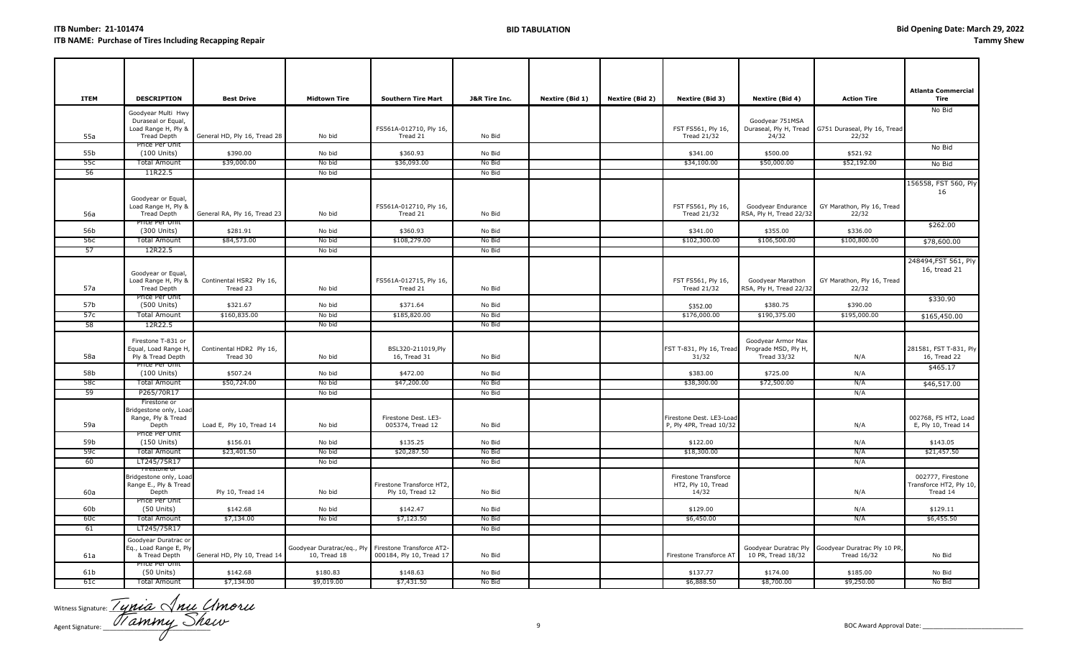| <b>ITEM</b>     | <b>DESCRIPTION</b>                                                                       | <b>Best Drive</b>                    | <b>Midtown Tire</b>                                                  | <b>Southern Tire Mart</b>                     | <b>J&amp;R Tire Inc.</b> |                 |                 |                                                     |                                                           |                                                                          | Atlanta Commercial                                       |
|-----------------|------------------------------------------------------------------------------------------|--------------------------------------|----------------------------------------------------------------------|-----------------------------------------------|--------------------------|-----------------|-----------------|-----------------------------------------------------|-----------------------------------------------------------|--------------------------------------------------------------------------|----------------------------------------------------------|
|                 |                                                                                          |                                      |                                                                      |                                               |                          | Nextire (Bid 1) | Nextire (Bid 2) | Nextire (Bid 3)                                     | <b>Nextire (Bid 4)</b>                                    | <b>Action Tire</b>                                                       | Tire                                                     |
| 55a             | Goodyear Multi Hwy<br>Duraseal or Equal,<br>Load Range H, Ply &<br>Tread Depth           | General HD, Ply 16, Tread 28         | No bid                                                               | FS561A-012710, Ply 16,<br>Tread 21            | No Bid                   |                 |                 | FST FS561, Ply 16,<br><b>Tread 21/32</b>            | Goodyear 751MSA<br>24/32                                  | Duraseal, Ply H, Tread G751 Duraseal, Ply 16, Tread<br>22/32             | No Bid                                                   |
|                 | Price Per Unit                                                                           |                                      |                                                                      |                                               |                          |                 |                 |                                                     |                                                           |                                                                          | No Bid                                                   |
| 55b<br>55c      | (100 Units)<br><b>Total Amount</b>                                                       | \$390.00<br>\$39,000.00              | No bid<br>No bid                                                     | \$360.93<br>\$36,093.00                       | No Bid<br>No Bid         |                 |                 | \$341.00<br>\$34,100.00                             | \$500.00<br>\$50,000.00                                   | \$521.92<br>\$52,192.00                                                  |                                                          |
| 56              | 11R22.5                                                                                  |                                      | No bid                                                               |                                               | No Bid                   |                 |                 |                                                     |                                                           |                                                                          | No Bid                                                   |
| 56a             | Goodyear or Equal,<br>Load Range H, Ply &<br><b>Tread Depth</b><br><u>Price Per Unit</u> | General RA, Ply 16, Tread 23         | No bid                                                               | FS561A-012710, Ply 16,<br>Tread 21            | No Bid                   |                 |                 | FST FS561, Ply 16,<br><b>Tread 21/32</b>            | Goodyear Endurance<br>RSA, Ply H, Tread 22/32             | GY Marathon, Ply 16, Tread<br>22/32                                      | 156558, FST 560, Ply<br>16                               |
| 56b             | (300 Units)                                                                              | \$281.91                             | No bid                                                               | \$360.93                                      | No Bid                   |                 |                 | \$341.00                                            | \$355.00                                                  | \$336.00                                                                 | \$262.00                                                 |
| 56c             | <b>Total Amount</b>                                                                      | \$84,573.00                          | No bid                                                               | \$108,279.00                                  | No Bid                   |                 |                 | \$102,300.00                                        | \$106,500.00                                              | \$100,800.00                                                             | \$78,600.00                                              |
| 57              | 12R22.5                                                                                  |                                      | No bid                                                               |                                               | No Bid                   |                 |                 |                                                     |                                                           |                                                                          |                                                          |
| 57a             | Goodyear or Equal,<br>Load Range H, Ply &<br><b>Tread Depth</b>                          | Continental HSR2 Ply 16,<br>Tread 23 | No bid                                                               | FS561A-012715, Ply 16,<br>Tread 21            | No Bid                   |                 |                 | FST FS561, Ply 16,<br><b>Tread 21/32</b>            | Goodyear Marathon<br>RSA, Ply H, Tread 22/32              | GY Marathon, Ply 16, Tread<br>22/32                                      | 248494, FST 561, Ply<br>16, tread 21                     |
| 57b             | <b>Price Per Unit</b><br>(500 Units)                                                     | \$321.67                             | No bid                                                               | \$371.64                                      | No Bid                   |                 |                 | \$352.00                                            | \$380.75                                                  | \$390.00                                                                 | \$330.90                                                 |
| 57c             | <b>Total Amount</b>                                                                      | \$160,835.00                         | No bid                                                               | \$185,820.00                                  | No Bid                   |                 |                 | \$176,000.00                                        | \$190,375.00                                              | \$195,000.00                                                             | \$165,450.00                                             |
| 58              | 12R22.5                                                                                  |                                      | No bid                                                               |                                               | No Bid                   |                 |                 |                                                     |                                                           |                                                                          |                                                          |
| 58a             | Firestone T-831 or<br>Equal, Load Range H,<br>Ply & Tread Depth                          | Continental HDR2 Ply 16,<br>Tread 30 | No bid                                                               | BSL320-211019, Ply<br>16, Tread 31            | No Bid                   |                 |                 | FST T-831, Ply 16, Tread<br>31/32                   | Goodyear Armor Max<br>Prograde MSD, Ply H,<br>Tread 33/32 | N/A                                                                      | 281581, FST T-831, Ply<br>16, Tread 22                   |
| 58b             | Price Per Unit<br>(100 Units)                                                            | \$507.24                             | No bid                                                               | \$472.00                                      | No Bid                   |                 |                 | \$383.00                                            | \$725.00                                                  | N/A                                                                      | \$465.17                                                 |
| 58c             | <b>Total Amount</b>                                                                      | \$50,724.00                          | No bid                                                               | \$47,200.00                                   | No Bid                   |                 |                 | \$38,300.00                                         | \$72,500.00                                               | N/A                                                                      | \$46,517.00                                              |
| 59              | P265/70R17                                                                               |                                      | No bid                                                               |                                               | No Bid                   |                 |                 |                                                     |                                                           | N/A                                                                      |                                                          |
| 59a             | Firestone or<br>Bridgestone only, Load<br>Range, Ply & Tread<br>Depth                    | Load E, Ply 10, Tread 14             | No bid                                                               | Firestone Dest. LE3-<br>005374, Tread 12      | No Bid                   |                 |                 | Firestone Dest. LE3-Load<br>P, Ply 4PR, Tread 10/32 |                                                           | N/A                                                                      | 002768, FS HT2, Load<br>E, Ply 10, Tread 14              |
| 59 <sub>b</sub> | Price Per Unit<br>(150 Units)                                                            | \$156.01                             | No bid                                                               | \$135.25                                      | No Bid                   |                 |                 | \$122.00                                            |                                                           | N/A                                                                      | \$143.05                                                 |
| 59c             | Total Amount                                                                             | \$23,401.50                          | No bid                                                               | \$20,287.50                                   | No Bid                   |                 |                 | \$18,300.00                                         |                                                           | N/A                                                                      | \$21,457.50                                              |
| -60             | LT245/75R17                                                                              |                                      | No bid                                                               |                                               | No Bid                   |                 |                 |                                                     |                                                           | N/A                                                                      |                                                          |
| 60a             | Bridgestone only, Load<br>Range E., Ply & Tread<br>Depth                                 | Ply 10, Tread 14                     | No bid                                                               | Firestone Transforce HT2,<br>Ply 10, Tread 12 | No Bid                   |                 |                 | Firestone Transforce<br>HT2, Ply 10, Tread<br>14/32 |                                                           | N/A                                                                      | 002777, Firestone<br>Transforce HT2, Ply 10,<br>Tread 14 |
| 60b             | Price Per Unit<br>$(50$ Units)                                                           | \$142.68                             | No bid                                                               | \$142.47                                      | No Bid                   |                 |                 | \$129.00                                            |                                                           | N/A                                                                      | \$129.11                                                 |
| 60c             | <b>Total Amount</b>                                                                      | \$7,134.00                           | No bid                                                               | \$7,123.50                                    | No Bid                   |                 |                 | \$6,450.00                                          |                                                           | N/A                                                                      | \$6,455.50                                               |
| 61              | LT245/75R17                                                                              |                                      |                                                                      |                                               | No Bid                   |                 |                 |                                                     |                                                           |                                                                          |                                                          |
| 61a             | Goodyear Duratrac or<br>Eq., Load Range E, Ply<br>& Tread Depth                          | General HD, Ply 10, Tread 14         | Goodyear Duratrac/eq., Ply Firestone Transforce AT2-<br>10, Tread 18 | 000184, Ply 10, Tread 17                      | No Bid                   |                 |                 | Firestone Transforce AT                             | 10 PR, Tread 18/32                                        | Goodyear Duratrac Ply Goodyear Duratrac Ply 10 PR,<br><b>Tread 16/32</b> | No Bid                                                   |
| 61b             | Price Per Unit<br>$(50$ Units)                                                           | \$142.68                             | \$180.83                                                             | \$148.63                                      | No Bid                   |                 |                 | \$137.77                                            | \$174.00                                                  | \$185.00                                                                 | No Bid                                                   |
| 61c             | <b>Total Amount</b>                                                                      | \$7,134.00                           | \$9,019.00                                                           | \$7,431.50                                    | No Bid                   |                 |                 | \$6,888.50                                          | \$8,700.00                                                | \$9,250.00                                                               | No Bid                                                   |
|                 |                                                                                          |                                      |                                                                      |                                               |                          |                 |                 |                                                     |                                                           |                                                                          |                                                          |

Witness Signature:  $\frac{1}{2}$  U DUCL C Agent Signature: \_\_\_\_\_\_\_\_\_\_\_\_\_\_\_\_\_\_\_\_\_\_\_\_\_\_\_\_\_\_\_ 9 BOC Award Approval Date: \_\_\_\_\_\_\_\_\_\_\_\_\_\_\_\_\_\_\_\_\_\_\_\_\_\_\_\_\_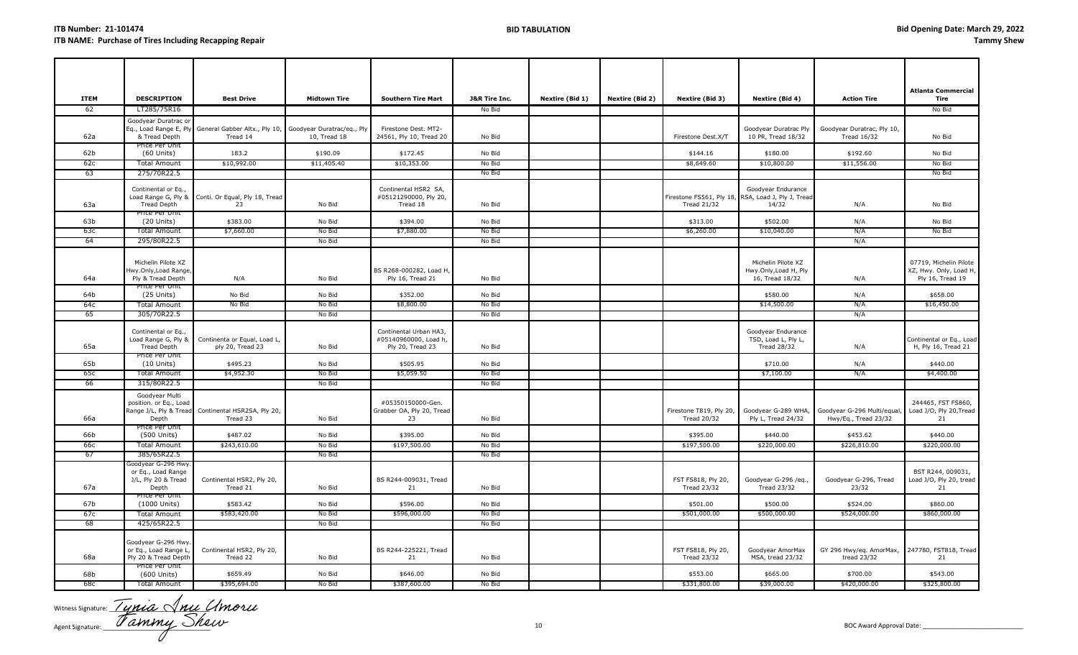| <b>ITEM</b>     | <b>DESCRIPTION</b>                                                                 | <b>Best Drive</b>                                                                           | <b>Midtown Tire</b>     | <b>Southern Tire Mart</b>                                           | <b>J&amp;R Tire Inc.</b> | Nextire (Bid 1) | Nextire (Bid 2) | Nextire (Bid 3)                               | Nextire (Bid 4)                                                                   | <b>Action Tire</b>                                 | <b>Atlanta Commercial</b><br>Tire                                    |
|-----------------|------------------------------------------------------------------------------------|---------------------------------------------------------------------------------------------|-------------------------|---------------------------------------------------------------------|--------------------------|-----------------|-----------------|-----------------------------------------------|-----------------------------------------------------------------------------------|----------------------------------------------------|----------------------------------------------------------------------|
| 62              | LT285/75R16                                                                        |                                                                                             |                         |                                                                     | No Bid                   |                 |                 |                                               |                                                                                   |                                                    | No Bid                                                               |
| 62a             | Goodyear Duratrac or<br>& Tread Depth                                              | Eq., Load Range E, Ply General Gabber Altx., Ply 10, Goodyear Duratrac/eq., Ply<br>Tread 14 | 10, Tread 18            | Firestone Dest. MT2-<br>24561, Ply 10, Tread 20                     | No Bid                   |                 |                 | Firestone Dest.X/T                            | Goodyear Duratrac Ply<br>10 PR, Tread 18/32                                       | Goodyear Duratrac, Ply 10,<br><b>Tread 16/32</b>   | No Bid                                                               |
| 62 <sub>b</sub> | Price Per Unit                                                                     |                                                                                             |                         |                                                                     |                          |                 |                 |                                               | \$180.00                                                                          |                                                    |                                                                      |
| 62c             | $(60$ Units)<br><b>Total Amount</b>                                                | 183.2<br>\$10,992.00                                                                        | \$190.09<br>\$11,405.40 | \$172.45<br>\$10,353.00                                             | No Bid<br>No Bid         |                 |                 | \$144.16<br>\$8,649.60                        | \$10,800.00                                                                       | \$192.60<br>\$11,556.00                            | No Bid<br>No Bid                                                     |
| 63              | 275/70R22.5                                                                        |                                                                                             |                         |                                                                     | No Bid                   |                 |                 |                                               |                                                                                   |                                                    | No Bid                                                               |
|                 |                                                                                    |                                                                                             |                         |                                                                     |                          |                 |                 |                                               |                                                                                   |                                                    |                                                                      |
| 63a             | Continental or Eq.,<br><b>Tread Depth</b>                                          | Load Range G, Ply & Conti. Or Equal, Ply 18, Tread<br>23                                    | No Bid                  | Continental HSR2 SA,<br>#05121290000, Ply 20,<br>Tread 18           | No Bid                   |                 |                 | <b>Tread 21/32</b>                            | Goodyear Endurance<br>Firestone FS561, Ply 18, RSA, Load J, Ply J, Tread<br>14/32 | N/A                                                | No Bid                                                               |
| 63 <sub>b</sub> | Price Per Unit<br>$(20$ Units)                                                     | \$383.00                                                                                    | No Bid                  | \$394.00                                                            | No Bid                   |                 |                 | \$313.00                                      | \$502.00                                                                          | N/A                                                | No Bid                                                               |
| 63с             | <b>Total Amount</b>                                                                | \$7,660.00                                                                                  | No Bid                  | \$7,880.00                                                          | No Bid                   |                 |                 | \$6,260.00                                    | \$10,040.00                                                                       | N/A                                                | No Bid                                                               |
| 64              | 295/80R22.5                                                                        |                                                                                             | No Bid                  |                                                                     | No Bid                   |                 |                 |                                               |                                                                                   | N/A                                                |                                                                      |
| 64a             | Michelin Pilote XZ<br>Iwy.Only,Load Range<br>Ply & Tread Depth<br>Price Per Unit   | N/A                                                                                         | No Bid                  | BS R268-000282, Load H,<br>Ply 16, Tread 21                         | No Bid                   |                 |                 |                                               | Michelin Pilote XZ<br>Hwy.Only, Load H, Ply<br>16, Tread 18/32                    | N/A                                                | 07719, Michelin Pilote<br>XZ, Hwy. Only, Load H,<br>Ply 16, Tread 19 |
| 64b             | $(25$ Units)                                                                       | No Bid                                                                                      | No Bid                  | \$352.00                                                            | No Bid                   |                 |                 |                                               | \$580.00                                                                          | N/A                                                | \$658.00                                                             |
| 64c             | <b>Total Amount</b>                                                                | No Bid                                                                                      | No Bid                  | \$8,800.00                                                          | No Bid                   |                 |                 |                                               | \$14,500.00                                                                       | N/A                                                | \$16,450.00                                                          |
| 65              | 305/70R22.5                                                                        |                                                                                             | No Bid                  |                                                                     | No Bid                   |                 |                 |                                               |                                                                                   | N/A                                                |                                                                      |
| 65a             | Continental or Eq.,<br>Load Range G, Ply &<br><b>Tread Depth</b><br>Price Per Unit | Continenta or Equal, Load L,<br>ply 20, Tread 23                                            | No Bid                  | Continental Urban HA3,<br>#05140960000, Load h,<br>Ply 20, Tread 23 | No Bid                   |                 |                 |                                               | Goodyear Endurance<br>TSD, Load L, Ply L,<br><b>Tread 28/32</b>                   | N/A                                                | Continental or Eq., Load<br>H, Ply 16, Tread 21                      |
| 65b             | $(10$ Units)                                                                       | \$495.23                                                                                    | No Bid                  | \$505.95                                                            | No Bid                   |                 |                 |                                               | \$710.00                                                                          | N/A                                                | \$440.00                                                             |
| 65c             | <b>Total Amount</b>                                                                | \$4,952.30                                                                                  | No Bid                  | \$5,059.50                                                          | No Bid                   |                 |                 |                                               | \$7,100.00                                                                        | N/A                                                | \$4,400.00                                                           |
| 66              | 315/80R22.5                                                                        |                                                                                             | No Bid                  |                                                                     | No Bid                   |                 |                 |                                               |                                                                                   |                                                    |                                                                      |
| 66a             | Goodyear Multi<br>position. or Eq., Load<br>Depth<br>Price Per Unit                | Range J/L, Ply & Tread Continental HSR2SA, Ply 20,<br>Tread 23                              | No Bid                  | #05350150000-Gen.<br>Grabber OA, Ply 20, Tread<br>23                | No Bid                   |                 |                 | Firestone T819, Ply 20,<br><b>Tread 20/32</b> | Goodyear G-289 WHA,<br>Ply L, Tread 24/32                                         | Goodyear G-296 Multi/equal<br>Hwy/Eq., Tread 23/32 | 244465, FST FS860,<br>Load J/O, Ply 20, Tread<br>21                  |
| 66b             | (500 Units)                                                                        | \$487.02                                                                                    | No Bid                  | \$395.00                                                            | No Bid                   |                 |                 | \$395.00                                      | \$440.00                                                                          | \$453.62                                           | \$440.00                                                             |
| 66c             | Total Amount                                                                       | \$243,610.00                                                                                | No Bid                  | \$197,500.00                                                        | No Bid                   |                 |                 | \$197,500.00                                  | \$220,000.00                                                                      | \$226,810.00                                       | \$220,000.00                                                         |
| -67             | 385/65R22.5                                                                        |                                                                                             | No Bid                  |                                                                     | No Bid                   |                 |                 |                                               |                                                                                   |                                                    |                                                                      |
| 67a             | Goodyear G-296 Hwy<br>or Eq., Load Range<br>J/L, Ply 20 & Tread<br>Depth           | Continental HSR2, Ply 20,<br>Tread 21                                                       | No Bid                  | BS R244-009031, Tread<br>21                                         | No Bid                   |                 |                 | FST FS818, Ply 20,<br><b>Tread 23/32</b>      | Goodyear G-296 /eq.,<br><b>Tread 23/32</b>                                        | Goodyear G-296, Tread<br>23/32                     | BST R244, 009031,<br>Load J/O, Ply 20, tread<br>21                   |
| 67b             | Price Per Unit<br>(1000 Units)                                                     | \$583.42                                                                                    | No Bid                  | \$596.00                                                            | No Bid                   |                 |                 | \$501.00                                      | \$500.00                                                                          | \$524.00                                           | \$860.00                                                             |
| 67c             | <b>Total Amount</b>                                                                | \$583,420.00                                                                                | No Bid                  | \$596,000.00                                                        | No Bid                   |                 |                 | \$501,000.00                                  | \$500,000.00                                                                      | \$524,000.00                                       | \$860,000.00                                                         |
| 68              | 425/65R22.5                                                                        |                                                                                             | No Bid                  |                                                                     | No Bid                   |                 |                 |                                               |                                                                                   |                                                    |                                                                      |
| 68a             | Goodyear G-296 Hwy.<br>or Eq., Load Range I<br>Ply 20 & Tread Depth                | Continental HSR2, Ply 20,<br>Tread 22                                                       | No Bid                  | BS R244-225221, Tread<br>21                                         | No Bid                   |                 |                 | FST FS818, Ply 20,<br><b>Tread 23/32</b>      | Goodyear AmorMax<br>MSA, tread 23/32                                              | GY 296 Hwy/eq. AmorMax,<br>tread 23/32             | 247780, FST818, Tread<br>21                                          |
| 68b             | Price Per Unit<br>(600 Units)                                                      | \$659.49                                                                                    | No Bid                  | \$646.00                                                            | No Bid                   |                 |                 | \$553.00                                      | \$665.00                                                                          | \$700.00                                           | \$543.00                                                             |
| 68c             | <b>Total Amount</b>                                                                | \$395,694.00                                                                                | No Bid                  | \$387,600.00                                                        | No Bid                   |                 |                 | \$331,800.00                                  | \$39,000.00                                                                       | \$420,000.00                                       | \$325,800.00                                                         |

Witness Signature: <u>1 UNUC</u> (VNUC C Agent Signature: \_\_\_\_\_\_\_\_\_\_\_\_\_\_\_\_\_\_\_\_\_\_\_\_\_\_\_\_\_\_\_ 10 BOC Award Approval Date: \_\_\_\_\_\_\_\_\_\_\_\_\_\_\_\_\_\_\_\_\_\_\_\_\_\_\_\_\_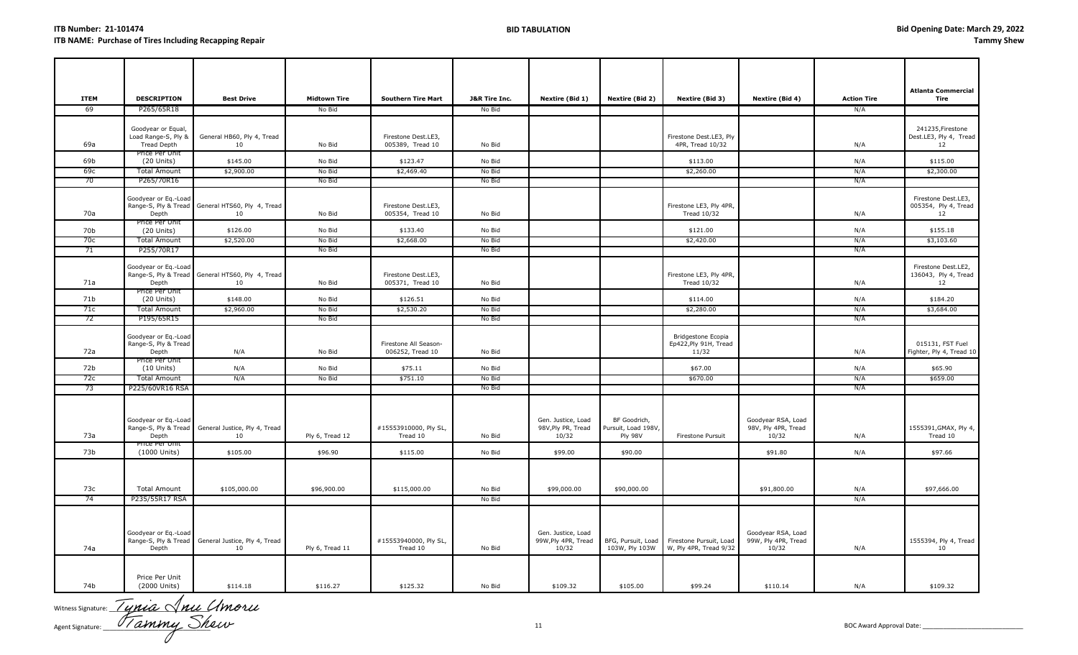| <b>ITEM</b> | <b>DESCRIPTION</b>                                                      | <b>Best Drive</b>                                      | <b>Midtown Tire</b> | <b>Southern Tire Mart</b>                 | <b>J&amp;R Tire Inc.</b> | Nextire (Bid 1)                                    | Nextire (Bid 2)                                | Nextire (Bid 3)                                      | Nextire (Bid 4)                                    | <b>Action Tire</b> | <b>Atlanta Commercial</b><br>Tire                 |
|-------------|-------------------------------------------------------------------------|--------------------------------------------------------|---------------------|-------------------------------------------|--------------------------|----------------------------------------------------|------------------------------------------------|------------------------------------------------------|----------------------------------------------------|--------------------|---------------------------------------------------|
| 69          | P265/65R18                                                              |                                                        | No Bid              |                                           | No Bid                   |                                                    |                                                |                                                      |                                                    | N/A                |                                                   |
| 69a         | Goodyear or Equal,<br>Load Range-S, Ply &<br>Tread Depth                | General HB60, Ply 4, Tread<br>10                       | No Bid              | Firestone Dest.LE3,<br>005389, Tread 10   | No Bid                   |                                                    |                                                | Firestone Dest.LE3, Ply<br>4PR, Tread 10/32          |                                                    | N/A                | 241235, Firestone<br>Dest.LE3, Ply 4, Tread<br>12 |
| 69b         | Price Per Unit<br>$(20$ Units)                                          | \$145.00                                               | No Bid              | \$123.47                                  | No Bid                   |                                                    |                                                | \$113.00                                             |                                                    | N/A                | \$115.00                                          |
| 69с         | <b>Total Amount</b>                                                     | \$2,900.00                                             | No Bid              | \$2,469.40                                | No Bid                   |                                                    |                                                | \$2,260.00                                           |                                                    | N/A                | \$2,300.00                                        |
| 70          | P265/70R16                                                              |                                                        | No Bid              |                                           | No Bid                   |                                                    |                                                |                                                      |                                                    | N/A                |                                                   |
| 70a         | Goodyear or Eq.-Load<br>Depth                                           | Range-S, Ply & Tread General HTS60, Ply 4, Tread<br>10 | No Bid              | Firestone Dest.LE3,<br>005354, Tread 10   | No Bid                   |                                                    |                                                | Firestone LE3, Ply 4PR,<br>Tread 10/32               |                                                    | N/A                | Firestone Dest.LE3,<br>005354, Ply 4, Tread<br>12 |
| 70b         | Price Per Unit<br>$(20$ Units)                                          | \$126.00                                               | No Bid              | \$133.40                                  | No Bid                   |                                                    |                                                | \$121.00                                             |                                                    | N/A                | \$155.18                                          |
| 70с         | Total Amount                                                            | \$2,520.00                                             | No Bid              | \$2,668.00                                | No Bid                   |                                                    |                                                | \$2,420.00                                           |                                                    | N/A                | \$3,103.60                                        |
| -71         | P255/70R17                                                              |                                                        | No Bid              |                                           | No Bid                   |                                                    |                                                |                                                      |                                                    | N/A                |                                                   |
| 71a         | Goodyear or Eq.-Load<br>Depth<br>rice Per Unit                          | Range-S, Ply & Tread General HTS60, Ply 4, Tread<br>10 | No Bid              | Firestone Dest.LE3,<br>005371, Tread 10   | No Bid                   |                                                    |                                                | Firestone LE3, Ply 4PR,<br><b>Tread 10/32</b>        |                                                    | N/A                | Firestone Dest.LE2,<br>136043, Ply 4, Tread<br>12 |
| 71b         | $(20$ Units)                                                            | \$148.00                                               | No Bid              | \$126.51                                  | No Bid                   |                                                    |                                                | \$114.00                                             |                                                    | N/A                | \$184.20                                          |
| 71c         | Total Amount                                                            | \$2,960.00                                             | No Bid              | \$2,530.20                                | No Bid                   |                                                    |                                                | \$2,280.00                                           |                                                    | N/A                | \$3,684.00                                        |
| 72          | P195/65R15                                                              |                                                        | No Bid              |                                           | No Bid                   |                                                    |                                                |                                                      |                                                    | N/A                |                                                   |
| 72a         | Goodyear or Eq.-Load<br>Range-S, Ply & Tread<br>Depth<br>Price Per Unit | N/A                                                    | No Bid              | Firestone All Season-<br>006252, Tread 10 | No Bid                   |                                                    |                                                | Bridgestone Ecopia<br>Ep422, Ply 91H, Tread<br>11/32 |                                                    | N/A                | 015131, FST Fuel<br>Fighter, Ply 4, Tread 10      |
| 72b         | $(10$ Units)                                                            | N/A                                                    | No Bid              | \$75.11                                   | No Bid                   |                                                    |                                                | \$67.00                                              |                                                    | N/A                | \$65.90                                           |
| 72c         | <b>Total Amount</b>                                                     | N/A                                                    | No Bid              | \$751.10                                  | No Bid                   |                                                    |                                                | \$670.00                                             |                                                    | N/A                | \$659.00                                          |
| 73          | P225/60VR16 RSA                                                         |                                                        |                     |                                           | No Bid                   |                                                    |                                                |                                                      |                                                    | N/A                |                                                   |
| 73a         | Goodyear or Eq.-Load<br>Range-S, Ply & Tread<br>Depth<br>Price Per Unit | General Justice, Ply 4, Tread<br>10                    | Ply 6, Tread 12     | #15553910000, Ply SL,<br>Tread 10         | No Bid                   | Gen. Justice, Load<br>98V, Ply PR, Tread<br>10/32  | BF Goodrich,<br>Pursuit, Load 198V,<br>Ply 98V | Firestone Pursuit                                    | Goodyear RSA, Load<br>98V, Ply 4PR, Tread<br>10/32 | N/A                | 1555391, GMAX, Ply 4,<br>Tread 10                 |
| 73b         | (1000 Units)                                                            | \$105.00                                               | \$96.90             | \$115.00                                  | No Bid                   | \$99.00                                            | \$90.00                                        |                                                      | \$91.80                                            | N/A                | \$97.66                                           |
| 73c<br>74   | <b>Total Amount</b>                                                     | \$105,000.00                                           | \$96,900.00         | \$115,000.00                              | No Bid<br>No Bid         | \$99,000.00                                        | \$90,000.00                                    |                                                      | \$91,800.00                                        | N/A<br>N/A         | \$97,666.00                                       |
|             | P235/55R17 RSA                                                          |                                                        |                     |                                           |                          |                                                    |                                                |                                                      |                                                    |                    |                                                   |
| 74a         | Goodyear or Eq.-Load<br>Range-S, Ply & Tread<br>Depth                   | General Justice, Ply 4, Tread<br>10                    | Ply 6, Tread 11     | #15553940000, Ply SL,<br>Tread 10         | No Bid                   | Gen. Justice, Load<br>99W, Ply 4PR, Tread<br>10/32 | BFG, Pursuit, Load<br>103W, Ply 103W           | Firestone Pursuit, Load<br>W, Ply 4PR, Tread 9/32    | Goodyear RSA, Load<br>99W, Ply 4PR, Tread<br>10/32 | N/A                | 1555394, Ply 4, Tread<br>10                       |
| 74b         | Price Per Unit<br>(2000 Units)                                          | \$114.18                                               | \$116.27            | \$125.32                                  | No Bid                   | \$109.32                                           | \$105.00                                       | \$99.24                                              | \$110.14                                           | N/A                | \$109.32                                          |

Witness Signature:  $\angle$  *UYIUU* ( $\sqrt{N}$ U Agent Signature: \_\_\_\_\_\_\_\_\_\_\_\_\_\_\_\_\_\_\_\_\_\_\_\_\_\_\_\_\_\_\_ 11 BOC Award Approval Date: \_\_\_\_\_\_\_\_\_\_\_\_\_\_\_\_\_\_\_\_\_\_\_\_\_\_\_\_\_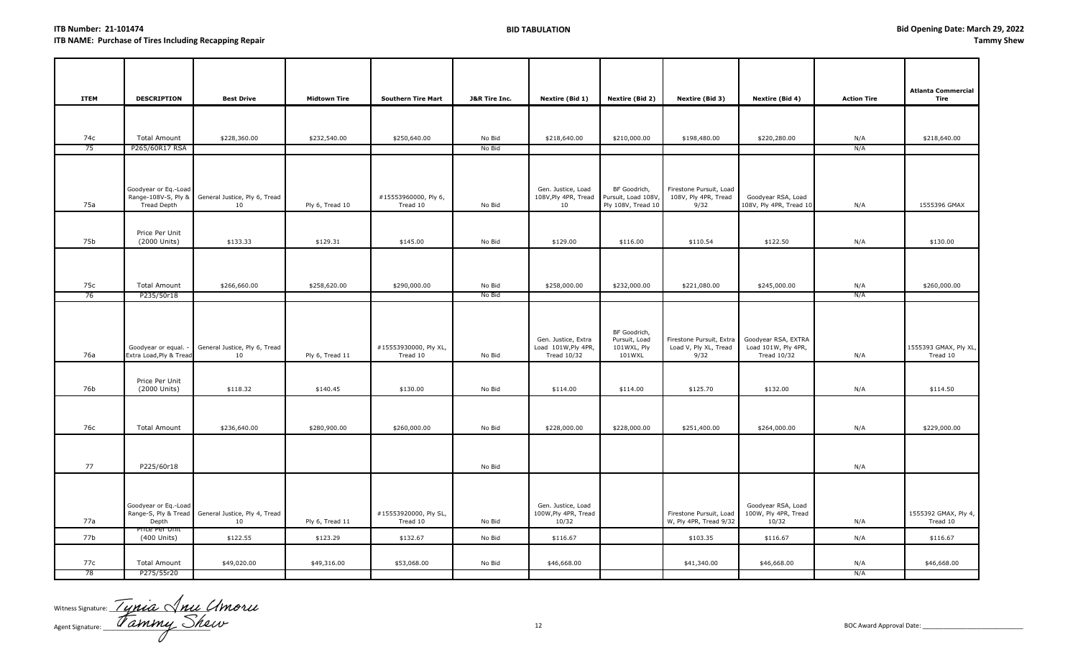|             |                                       |                                                          |                     |                                   |                  |                                            |                                    |                                                   |                                            |                    | <b>Atlanta Commercial</b>        |
|-------------|---------------------------------------|----------------------------------------------------------|---------------------|-----------------------------------|------------------|--------------------------------------------|------------------------------------|---------------------------------------------------|--------------------------------------------|--------------------|----------------------------------|
| <b>ITEM</b> | <b>DESCRIPTION</b>                    | <b>Best Drive</b>                                        | <b>Midtown Tire</b> | <b>Southern Tire Mart</b>         | J&R Tire Inc.    | Nextire (Bid 1)                            | Nextire (Bid 2)                    | Nextire (Bid 3)                                   | <b>Nextire (Bid 4)</b>                     | <b>Action Tire</b> | Tire                             |
|             |                                       |                                                          |                     |                                   |                  |                                            |                                    |                                                   |                                            |                    |                                  |
|             |                                       |                                                          |                     |                                   |                  |                                            |                                    |                                                   |                                            |                    |                                  |
| 74c<br>75   | <b>Total Amount</b><br>P265/60R17 RSA | \$228,360.00                                             | \$232,540.00        | \$250,640.00                      | No Bid<br>No Bid | \$218,640.00                               | \$210,000.00                       | \$198,480.00                                      | \$220,280.00                               | N/A<br>N/A         | \$218,640.00                     |
|             |                                       |                                                          |                     |                                   |                  |                                            |                                    |                                                   |                                            |                    |                                  |
|             |                                       |                                                          |                     |                                   |                  |                                            |                                    |                                                   |                                            |                    |                                  |
|             |                                       |                                                          |                     |                                   |                  |                                            |                                    |                                                   |                                            |                    |                                  |
|             | Goodyear or Eq.-Load                  | Range-108V-S, Ply & General Justice, Ply 6, Tread        |                     | #15553960000, Ply 6,              |                  | Gen. Justice, Load<br>108V, Ply 4PR, Tread | BF Goodrich,<br>Pursuit, Load 108V | Firestone Pursuit, Load<br>108V, Ply 4PR, Tread   | Goodyear RSA, Load                         |                    |                                  |
| 75a         | Tread Depth                           | 10                                                       | Ply 6, Tread 10     | Tread 10                          | No Bid           | 10                                         | Ply 108V, Tread 10                 | 9/32                                              | 108V, Ply 4PR, Tread 10                    | N/A                | 1555396 GMAX                     |
|             |                                       |                                                          |                     |                                   |                  |                                            |                                    |                                                   |                                            |                    |                                  |
| 75b         | Price Per Unit<br>(2000 Units)        | \$133.33                                                 | \$129.31            | \$145.00                          | No Bid           | \$129.00                                   | \$116.00                           | \$110.54                                          | \$122.50                                   | N/A                | \$130.00                         |
|             |                                       |                                                          |                     |                                   |                  |                                            |                                    |                                                   |                                            |                    |                                  |
|             |                                       |                                                          |                     |                                   |                  |                                            |                                    |                                                   |                                            |                    |                                  |
|             |                                       |                                                          |                     |                                   |                  |                                            |                                    |                                                   |                                            |                    |                                  |
| 75c<br>76   | <b>Total Amount</b><br>P235/50r18     | \$266,660.00                                             | \$258,620.00        | \$290,000.00                      | No Bid<br>No Bid | \$258,000.00                               | \$232,000.00                       | \$221,080.00                                      | \$245,000.00                               | N/A<br>N/A         | \$260,000.00                     |
|             |                                       |                                                          |                     |                                   |                  |                                            |                                    |                                                   |                                            |                    |                                  |
|             |                                       |                                                          |                     |                                   |                  |                                            |                                    |                                                   |                                            |                    |                                  |
|             |                                       |                                                          |                     |                                   |                  |                                            | BF Goodrich,                       |                                                   |                                            |                    |                                  |
|             | Goodyear or equal. -                  | General Justice, Ply 6, Tread                            |                     | #15553930000, Ply XL,             |                  | Gen. Justice, Extra<br>Load 101W, Ply 4PR, | Pursuit, Load<br>101WXL, Ply       | Firestone Pursuit, Extra<br>Load V, Ply XL, Tread | Goodyear RSA, EXTRA<br>Load 101W, Ply 4PR, |                    | 1555393 GMAX, Ply XL,            |
| 76a         | Extra Load, Ply & Tread               | 10                                                       | Ply 6, Tread 11     | Tread 10                          | No Bid           | <b>Tread 10/32</b>                         | 101WXL                             | 9/32                                              | <b>Tread 10/32</b>                         | N/A                | Tread 10                         |
|             |                                       |                                                          |                     |                                   |                  |                                            |                                    |                                                   |                                            |                    |                                  |
|             | Price Per Unit                        |                                                          |                     |                                   |                  |                                            |                                    |                                                   |                                            |                    |                                  |
| 76b         | (2000 Units)                          | \$118.32                                                 | \$140.45            | \$130.00                          | No Bid           | \$114.00                                   | \$114.00                           | \$125.70                                          | \$132.00                                   | N/A                | \$114.50                         |
|             |                                       |                                                          |                     |                                   |                  |                                            |                                    |                                                   |                                            |                    |                                  |
| 76с         | Total Amount                          | \$236,640.00                                             | \$280,900.00        | \$260,000.00                      | No Bid           | \$228,000.00                               | \$228,000.00                       | \$251,400.00                                      | \$264,000.00                               | N/A                | \$229,000.00                     |
|             |                                       |                                                          |                     |                                   |                  |                                            |                                    |                                                   |                                            |                    |                                  |
|             |                                       |                                                          |                     |                                   |                  |                                            |                                    |                                                   |                                            |                    |                                  |
| 77          | P225/60r18                            |                                                          |                     |                                   | No Bid           |                                            |                                    |                                                   |                                            | N/A                |                                  |
|             |                                       |                                                          |                     |                                   |                  |                                            |                                    |                                                   |                                            |                    |                                  |
|             |                                       |                                                          |                     |                                   |                  |                                            |                                    |                                                   |                                            |                    |                                  |
|             | Goodyear or Eq.-Load                  |                                                          |                     |                                   |                  | Gen. Justice, Load                         |                                    |                                                   | Goodyear RSA, Load                         |                    |                                  |
| 77a         | Depth                                 | Range-S, Ply & Tread General Justice, Ply 4, Tread<br>10 | Ply 6, Tread 11     | #15553920000, Ply SL,<br>Tread 10 | No Bid           | 100W, Ply 4PR, Tread<br>10/32              |                                    | Firestone Pursuit, Load<br>W, Ply 4PR, Tread 9/32 | 100W, Ply 4PR, Tread<br>10/32              | N/A                | 1555392 GMAX, Ply 4,<br>Tread 10 |
|             | Price Per Unit                        |                                                          |                     |                                   |                  |                                            |                                    |                                                   |                                            |                    |                                  |
| 77b         | (400 Units)                           | \$122.55                                                 | \$123.29            | \$132.67                          | No Bid           | \$116.67                                   |                                    | \$103.35                                          | \$116.67                                   | N/A                | \$116.67                         |
| 77c         | <b>Total Amount</b>                   | \$49,020.00                                              | \$49,316.00         | \$53,068.00                       | No Bid           | \$46,668.00                                |                                    | \$41,340.00                                       | \$46,668.00                                | N/A                | \$46,668.00                      |
| 78          | P275/55r20                            |                                                          |                     |                                   |                  |                                            |                                    |                                                   |                                            | N/A                |                                  |

Witness Signature: <u>/ UNUC (VNU</u> C Agent Signature: \_\_\_\_\_\_\_\_\_\_\_\_\_\_\_\_\_\_\_\_\_\_\_\_\_\_\_\_\_\_\_ 12 BOC Award Approval Date: \_\_\_\_\_\_\_\_\_\_\_\_\_\_\_\_\_\_\_\_\_\_\_\_\_\_\_\_\_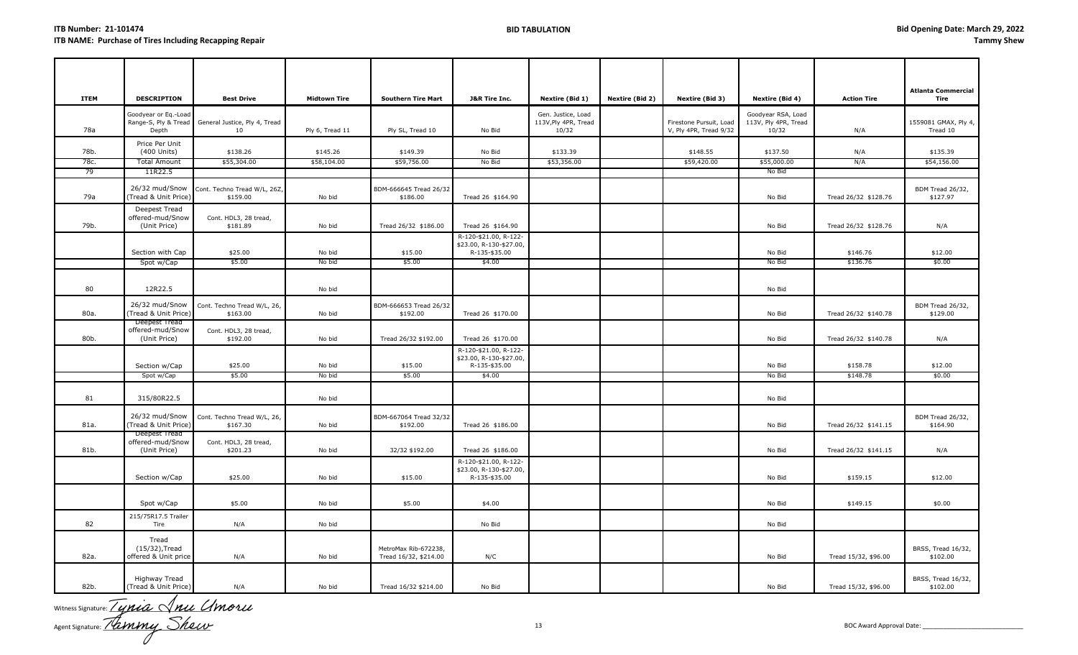| <b>ITEM</b>  | <b>DESCRIPTION</b>                                | <b>Best Drive</b>                                        | <b>Midtown Tire</b>     | <b>Southern Tire Mart</b>                     | <b>J&amp;R Tire Inc.</b>                                                    | Nextire (Bid 1)                                     | <b>Nextire (Bid 2)</b> | Nextire (Bid 3)                                   | Nextire (Bid 4)                                     | <b>Action Tire</b>   | <b>Atlanta Commercial</b><br>Tire |
|--------------|---------------------------------------------------|----------------------------------------------------------|-------------------------|-----------------------------------------------|-----------------------------------------------------------------------------|-----------------------------------------------------|------------------------|---------------------------------------------------|-----------------------------------------------------|----------------------|-----------------------------------|
| 78a          | Goodyear or Eq.-Load<br>Depth                     | Range-S, Ply & Tread General Justice, Ply 4, Tread<br>10 | Ply 6, Tread 11         | Ply SL, Tread 10                              | No Bid                                                                      | Gen. Justice, Load<br>113V, Ply 4PR, Tread<br>10/32 |                        | Firestone Pursuit, Load<br>V, Ply 4PR, Tread 9/32 | Goodyear RSA, Load<br>113V, Ply 4PR, Tread<br>10/32 | N/A                  | 1559081 GMAX, Ply 4,<br>Tread 10  |
| 78b.<br>78c. | Price Per Unit<br>(400 Units)<br>Total Amount     | \$138.26<br>\$55,304.00                                  | \$145.26<br>\$58,104.00 | \$149.39<br>\$59,756.00                       | No Bid<br>No Bid                                                            | \$133.39<br>\$53,356.00                             |                        | \$148.55<br>\$59,420.00                           | \$137.50<br>\$55,000.00                             | N/A<br>N/A           | \$135.39<br>\$54,156.00           |
| 79           | 11R22.5                                           |                                                          |                         |                                               |                                                                             |                                                     |                        |                                                   | No Bid                                              |                      |                                   |
| 79a          | 26/32 mud/Snow<br>(Tread & Unit Price)            | Cont. Techno Tread W/L, 26Z,<br>\$159.00                 | No bid                  | BDM-666645 Tread 26/32<br>\$186.00            | Tread 26 \$164.90                                                           |                                                     |                        |                                                   | No Bid                                              | Tread 26/32 \$128.76 | BDM Tread 26/32,<br>\$127.97      |
| 79b.         | Deepest Tread<br>offered-mud/Snow<br>(Unit Price) | Cont. HDL3, 28 tread,<br>\$181.89                        | No bid                  | Tread 26/32 \$186.00                          | Tread 26 \$164.90                                                           |                                                     |                        |                                                   | No Bid                                              | Tread 26/32 \$128.76 | N/A                               |
|              | Section with Cap<br>Spot w/Cap                    | \$25.00<br>\$5.00                                        | No bid<br>No bid        | \$15.00<br>\$5.00                             | R-120-\$21.00, R-122-<br>\$23.00, R-130-\$27.00,<br>R-135-\$35.00<br>\$4.00 |                                                     |                        |                                                   | No Bid<br>No Bid                                    | \$146.76<br>\$136.76 | \$12.00<br>\$0.00                 |
|              |                                                   |                                                          |                         |                                               |                                                                             |                                                     |                        |                                                   |                                                     |                      |                                   |
| 80           | 12R22.5                                           |                                                          | No bid                  |                                               |                                                                             |                                                     |                        |                                                   | No Bid                                              |                      |                                   |
| 80a.         | 26/32 mud/Snow<br>(Tread & Unit Price)            | Cont. Techno Tread W/L, 26,<br>\$163.00                  | No bid                  | BDM-666653 Tread 26/32<br>\$192.00            | Tread 26 \$170.00                                                           |                                                     |                        |                                                   | No Bid                                              | Tread 26/32 \$140.78 | BDM Tread 26/32,<br>\$129.00      |
| 80b.         | Deepest Tread<br>offered-mud/Snow<br>(Unit Price) | Cont. HDL3, 28 tread,<br>\$192.00                        | No bid                  | Tread 26/32 \$192.00                          | Tread 26 \$170.00                                                           |                                                     |                        |                                                   | No Bid                                              | Tread 26/32 \$140.78 | N/A                               |
|              | Section w/Cap                                     | \$25.00                                                  | No bid                  | \$15.00                                       | R-120-\$21.00, R-122-<br>\$23.00, R-130-\$27.00,<br>R-135-\$35.00           |                                                     |                        |                                                   | No Bid                                              | \$158.78             | \$12.00                           |
|              | Spot w/Cap                                        | \$5.00                                                   | No bid                  | \$5.00                                        | \$4.00                                                                      |                                                     |                        |                                                   | No Bid                                              | \$148.78             | \$0.00                            |
| 81           | 315/80R22.5                                       |                                                          | No bid                  |                                               |                                                                             |                                                     |                        |                                                   | No Bid                                              |                      |                                   |
| 81a.         | 26/32 mud/Snow<br>(Tread & Unit Price)            | Cont. Techno Tread W/L, 26,<br>\$167.30                  | No bid                  | BDM-667064 Tread 32/32<br>\$192.00            | Tread 26 \$186.00                                                           |                                                     |                        |                                                   | No Bid                                              | Tread 26/32 \$141.15 | BDM Tread 26/32,<br>\$164.90      |
| 81b.         | Deepest Tread<br>offered-mud/Snow<br>(Unit Price) | Cont. HDL3, 28 tread,<br>\$201.23                        | No bid                  | 32/32 \$192.00                                | Tread 26 \$186.00                                                           |                                                     |                        |                                                   | No Bid                                              | Tread 26/32 \$141.15 | N/A                               |
|              | Section w/Cap                                     | \$25.00                                                  | No bid                  | \$15.00                                       | R-120-\$21.00, R-122-<br>\$23.00, R-130-\$27.00,<br>R-135-\$35.00           |                                                     |                        |                                                   | No Bid                                              | \$159.15             | \$12.00                           |
|              | Spot w/Cap                                        | \$5.00                                                   | No bid                  | \$5.00                                        | \$4.00                                                                      |                                                     |                        |                                                   | No Bid                                              | \$149.15             | \$0.00                            |
| 82           | 215/75R17.5 Trailer<br>Tire                       | N/A                                                      | No bid                  |                                               | No Bid                                                                      |                                                     |                        |                                                   | No Bid                                              |                      |                                   |
| 82a.         | Tread<br>(15/32), Tread<br>offered & Unit price   | N/A                                                      | No bid                  | MetroMax Rib-672238,<br>Tread 16/32, \$214.00 | N/C                                                                         |                                                     |                        |                                                   | No Bid                                              | Tread 15/32, \$96.00 | BRSS, Tread 16/32,<br>\$102.00    |
| 82b.         | Highway Tread<br>(Tread & Unit Price)             | N/A                                                      | No bid                  | Tread 16/32 \$214.00                          | No Bid                                                                      |                                                     |                        |                                                   | No Bid                                              | Tread 15/32, \$96.00 | BRSS, Tread 16/32,<br>\$102.00    |

Witness Signature:  $\angle$  *UMLC*  $\vee$  *MLL*  $\vee$ Agent Signature: \_\_\_\_\_\_\_\_\_\_\_\_\_\_\_\_\_\_\_\_\_\_\_\_\_\_\_\_\_\_\_ 13 BOC Award Approval Date: \_\_\_\_\_\_\_\_\_\_\_\_\_\_\_\_\_\_\_\_\_\_\_\_\_\_\_\_\_